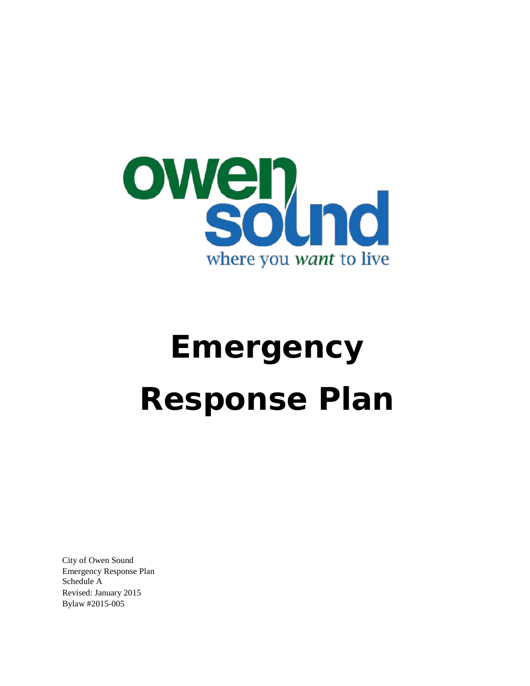

# **Emergency Response Plan**

City of Owen Sound Emergency Response Plan Schedule A Revised: January 2015 Bylaw #2015-005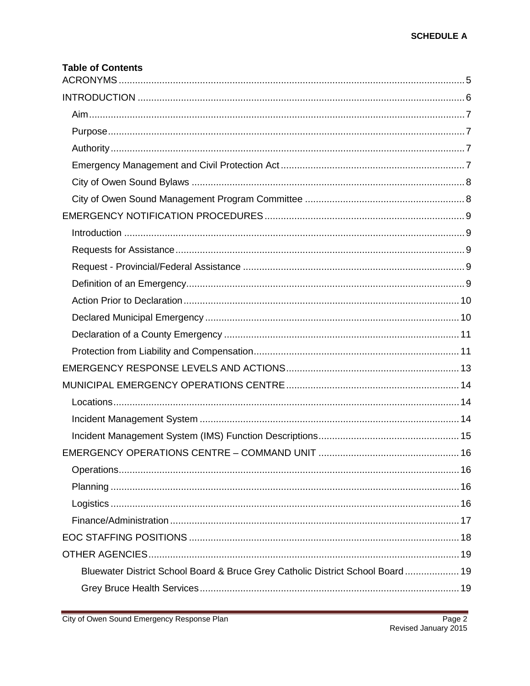| <b>Table of Contents</b>                                                       |  |
|--------------------------------------------------------------------------------|--|
|                                                                                |  |
|                                                                                |  |
|                                                                                |  |
|                                                                                |  |
|                                                                                |  |
|                                                                                |  |
|                                                                                |  |
|                                                                                |  |
|                                                                                |  |
|                                                                                |  |
|                                                                                |  |
|                                                                                |  |
|                                                                                |  |
|                                                                                |  |
|                                                                                |  |
|                                                                                |  |
|                                                                                |  |
|                                                                                |  |
|                                                                                |  |
|                                                                                |  |
|                                                                                |  |
|                                                                                |  |
|                                                                                |  |
|                                                                                |  |
|                                                                                |  |
|                                                                                |  |
|                                                                                |  |
|                                                                                |  |
|                                                                                |  |
| Bluewater District School Board & Bruce Grey Catholic District School Board 19 |  |
|                                                                                |  |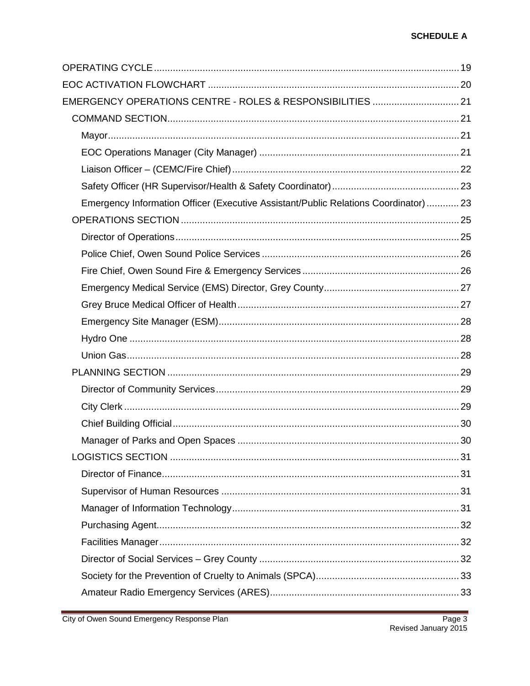| EMERGENCY OPERATIONS CENTRE - ROLES & RESPONSIBILITIES  21                           |  |
|--------------------------------------------------------------------------------------|--|
|                                                                                      |  |
|                                                                                      |  |
|                                                                                      |  |
|                                                                                      |  |
|                                                                                      |  |
| Emergency Information Officer (Executive Assistant/Public Relations Coordinator)  23 |  |
|                                                                                      |  |
|                                                                                      |  |
|                                                                                      |  |
|                                                                                      |  |
|                                                                                      |  |
|                                                                                      |  |
|                                                                                      |  |
|                                                                                      |  |
|                                                                                      |  |
|                                                                                      |  |
|                                                                                      |  |
|                                                                                      |  |
|                                                                                      |  |
|                                                                                      |  |
|                                                                                      |  |
|                                                                                      |  |
|                                                                                      |  |
|                                                                                      |  |
|                                                                                      |  |
|                                                                                      |  |
|                                                                                      |  |
|                                                                                      |  |
|                                                                                      |  |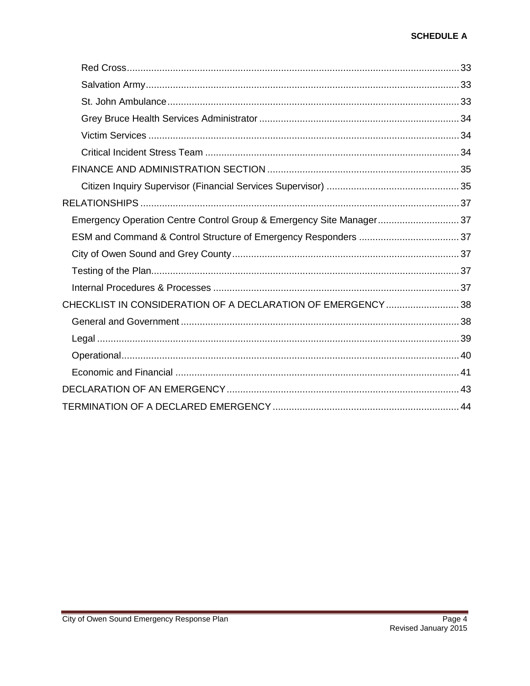| Emergency Operation Centre Control Group & Emergency Site Manager 37 |  |
|----------------------------------------------------------------------|--|
|                                                                      |  |
|                                                                      |  |
|                                                                      |  |
|                                                                      |  |
| CHECKLIST IN CONSIDERATION OF A DECLARATION OF EMERGENCY 38          |  |
|                                                                      |  |
|                                                                      |  |
|                                                                      |  |
|                                                                      |  |
|                                                                      |  |
|                                                                      |  |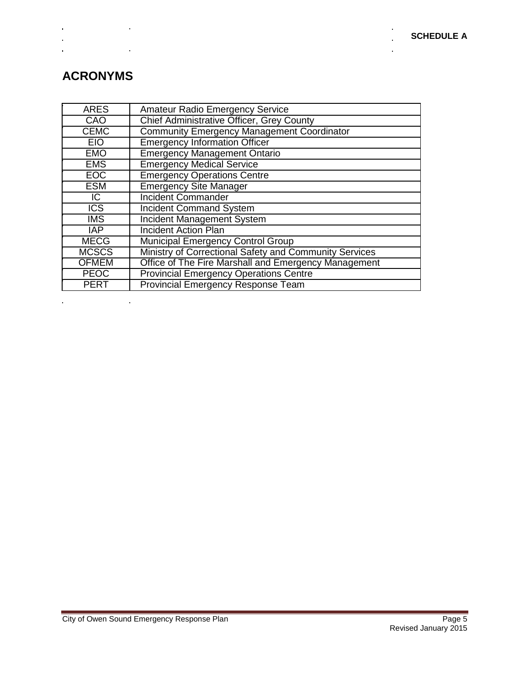l.

j.

# <span id="page-4-0"></span>**ACRONYMS**

 $\mathbf{r}$ 

 $\hat{\mathbf{r}}$ 

 $\hat{\mathbf{r}}$ 

 $\ddot{\phantom{a}}$ 

 $\mathcal{L}_{\mathcal{L}}$ 

 $\label{eq:2.1} \mathcal{L}(\mathcal{L}^{\text{max}}_{\mathcal{L}}(\mathcal{L}^{\text{max}}_{\mathcal{L}}),\mathcal{L}^{\text{max}}_{\mathcal{L}}(\mathcal{L}^{\text{max}}_{\mathcal{L}}))$ 

| <b>ARES</b>             | <b>Amateur Radio Emergency Service</b>                 |
|-------------------------|--------------------------------------------------------|
| CAO                     | Chief Administrative Officer, Grey County              |
| <b>CEMC</b>             | <b>Community Emergency Management Coordinator</b>      |
| <b>EIO</b>              | <b>Emergency Information Officer</b>                   |
| <b>EMO</b>              | <b>Emergency Management Ontario</b>                    |
| <b>EMS</b>              | <b>Emergency Medical Service</b>                       |
| EOC                     | <b>Emergency Operations Centre</b>                     |
| <b>ESM</b>              | <b>Emergency Site Manager</b>                          |
| $\overline{C}$          | <b>Incident Commander</b>                              |
| $\overline{\text{ICS}}$ | <b>Incident Command System</b>                         |
| <b>IMS</b>              | <b>Incident Management System</b>                      |
| <b>IAP</b>              | <b>Incident Action Plan</b>                            |
| <b>MECG</b>             | <b>Municipal Emergency Control Group</b>               |
| <b>MCSCS</b>            | Ministry of Correctional Safety and Community Services |
| <b>OFMEM</b>            | Office of The Fire Marshall and Emergency Management   |
| <b>PEOC</b>             | <b>Provincial Emergency Operations Centre</b>          |
| <b>PERT</b>             | <b>Provincial Emergency Response Team</b>              |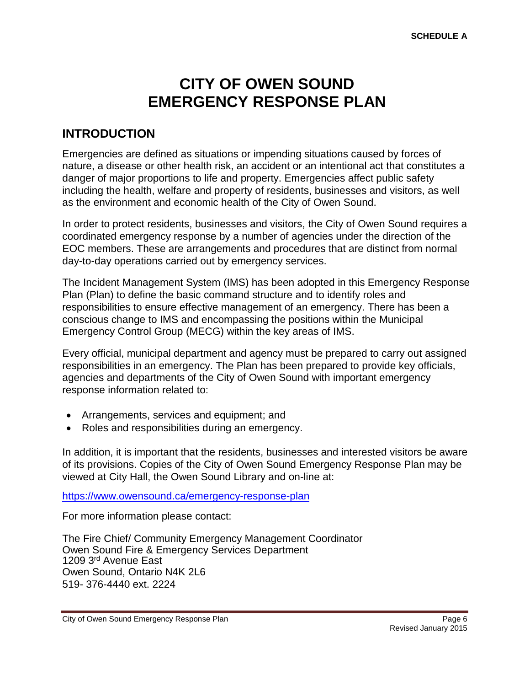# **CITY OF OWEN SOUND EMERGENCY RESPONSE PLAN**

### <span id="page-5-0"></span>**INTRODUCTION**

Emergencies are defined as situations or impending situations caused by forces of nature, a disease or other health risk, an accident or an intentional act that constitutes a danger of major proportions to life and property. Emergencies affect public safety including the health, welfare and property of residents, businesses and visitors, as well as the environment and economic health of the City of Owen Sound.

In order to protect residents, businesses and visitors, the City of Owen Sound requires a coordinated emergency response by a number of agencies under the direction of the EOC members. These are arrangements and procedures that are distinct from normal day-to-day operations carried out by emergency services.

The Incident Management System (IMS) has been adopted in this Emergency Response Plan (Plan) to define the basic command structure and to identify roles and responsibilities to ensure effective management of an emergency. There has been a conscious change to IMS and encompassing the positions within the Municipal Emergency Control Group (MECG) within the key areas of IMS.

Every official, municipal department and agency must be prepared to carry out assigned responsibilities in an emergency. The Plan has been prepared to provide key officials, agencies and departments of the City of Owen Sound with important emergency response information related to:

- Arrangements, services and equipment; and
- Roles and responsibilities during an emergency.

In addition, it is important that the residents, businesses and interested visitors be aware of its provisions. Copies of the City of Owen Sound Emergency Response Plan may be viewed at City Hall, the Owen Sound Library and on-line at:

<https://www.owensound.ca/emergency-response-plan>

For more information please contact:

The Fire Chief/ Community Emergency Management Coordinator Owen Sound Fire & Emergency Services Department 1209 3rd Avenue East Owen Sound, Ontario N4K 2L6 519- 376-4440 ext. 2224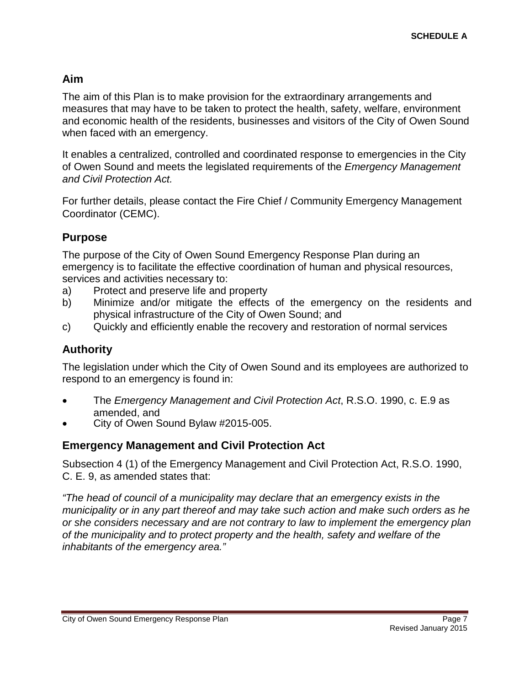#### <span id="page-6-0"></span>**Aim**

The aim of this Plan is to make provision for the extraordinary arrangements and measures that may have to be taken to protect the health, safety, welfare, environment and economic health of the residents, businesses and visitors of the City of Owen Sound when faced with an emergency.

It enables a centralized, controlled and coordinated response to emergencies in the City of Owen Sound and meets the legislated requirements of the *Emergency Management and Civil Protection Act.*

For further details, please contact the Fire Chief / Community Emergency Management Coordinator (CEMC).

#### <span id="page-6-1"></span>**Purpose**

The purpose of the City of Owen Sound Emergency Response Plan during an emergency is to facilitate the effective coordination of human and physical resources, services and activities necessary to:

- a) Protect and preserve life and property
- b) Minimize and/or mitigate the effects of the emergency on the residents and physical infrastructure of the City of Owen Sound; and
- c) Quickly and efficiently enable the recovery and restoration of normal services

#### <span id="page-6-2"></span>**Authority**

The legislation under which the City of Owen Sound and its employees are authorized to respond to an emergency is found in:

- The *Emergency Management and Civil Protection Act*, R.S.O. 1990, c. E.9 as amended, and<br>City of Owen Sound Bylaw #2015-005.
- <span id="page-6-3"></span>

#### **Emergency Management and Civil Protection Act**

Subsection 4 (1) of the Emergency Management and Civil Protection Act, R.S.O. 1990, C. E. 9, as amended states that:

*"The head of council of a municipality may declare that an emergency exists in the municipality or in any part thereof and may take such action and make such orders as he or she considers necessary and are not contrary to law to implement the emergency plan of the municipality and to protect property and the health, safety and welfare of the inhabitants of the emergency area."*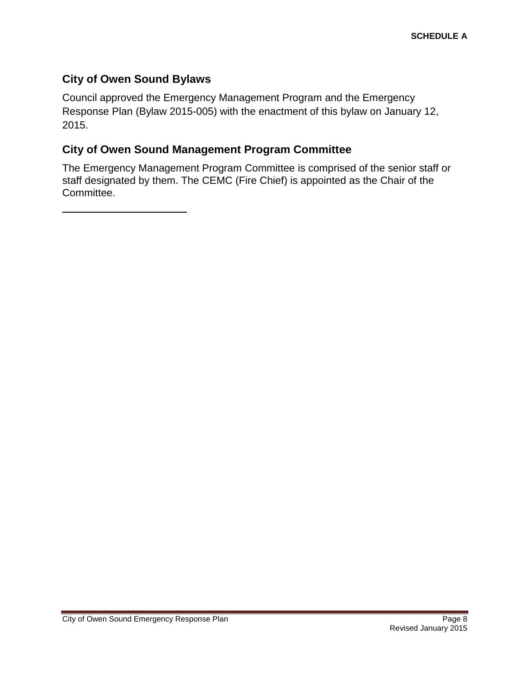#### <span id="page-7-0"></span>**City of Owen Sound Bylaws**

Council approved the Emergency Management Program and the Emergency Response Plan (Bylaw 2015-005) with the enactment of this bylaw on January 12, 2015.

#### <span id="page-7-1"></span>**City of Owen Sound Management Program Committee**

The Emergency Management Program Committee is comprised of the senior staff or staff designated by them. The CEMC (Fire Chief) is appointed as the Chair of the Committee.

City of Owen Sound Emergency Response Plan **Page 8** Page 8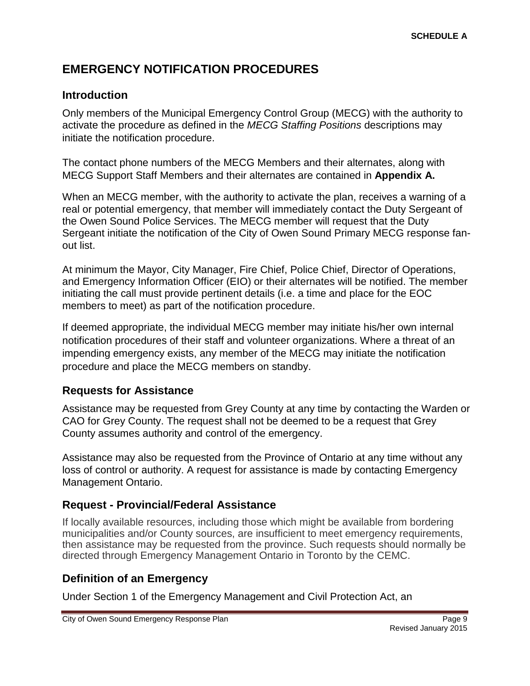# <span id="page-8-0"></span>**EMERGENCY NOTIFICATION PROCEDURES**

#### <span id="page-8-1"></span>**Introduction**

Only members of the Municipal Emergency Control Group (MECG) with the authority to activate the procedure as defined in the *MECG Staffing Positions* descriptions may initiate the notification procedure.

The contact phone numbers of the MECG Members and their alternates, along with MECG Support Staff Members and their alternates are contained in **Appendix A.**

When an MECG member, with the authority to activate the plan, receives a warning of a real or potential emergency, that member will immediately contact the Duty Sergeant of the Owen Sound Police Services. The MECG member will request that the Duty Sergeant initiate the notification of the City of Owen Sound Primary MECG response fanout list.

At minimum the Mayor, City Manager, Fire Chief, Police Chief, Director of Operations, and Emergency Information Officer (EIO) or their alternates will be notified. The member initiating the call must provide pertinent details (i.e. a time and place for the EOC members to meet) as part of the notification procedure.

If deemed appropriate, the individual MECG member may initiate his/her own internal notification procedures of their staff and volunteer organizations. Where a threat of an impending emergency exists, any member of the MECG may initiate the notification procedure and place the MECG members on standby.

#### <span id="page-8-2"></span>**Requests for Assistance**

Assistance may be requested from Grey County at any time by contacting the Warden or CAO for Grey County. The request shall not be deemed to be a request that Grey County assumes authority and control of the emergency.

Assistance may also be requested from the Province of Ontario at any time without any loss of control or authority. A request for assistance is made by contacting Emergency Management Ontario.

#### <span id="page-8-3"></span>**Request - Provincial/Federal Assistance**

If locally available resources, including those which might be available from bordering municipalities and/or County sources, are insufficient to meet emergency requirements, then assistance may be requested from the province. Such requests should normally be directed through Emergency Management Ontario in Toronto by the CEMC.

#### <span id="page-8-4"></span>**Definition of an Emergency**

Under Section 1 of the Emergency Management and Civil Protection Act, an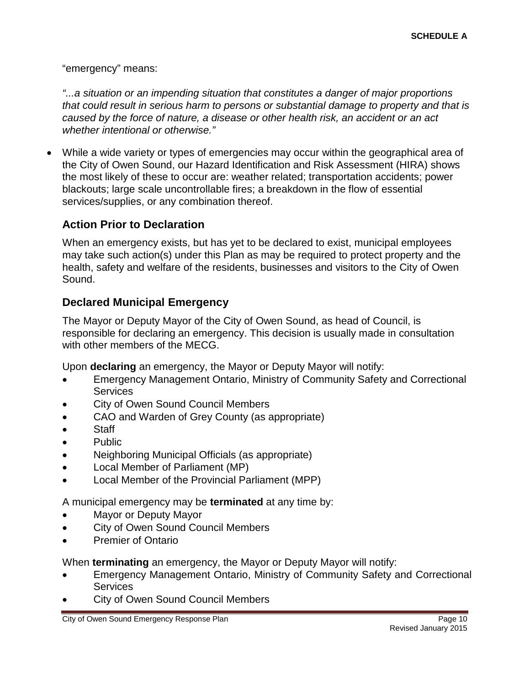"emergency" means:

*"...a situation or an impending situation that constitutes a danger of major proportions that could result in serious harm to persons or substantial damage to property and that is caused by the force of nature, a disease or other health risk, an accident or an act whether intentional or otherwise."*

• While a wide variety or types of emergencies may occur within the geographical area of the City of Owen Sound, our Hazard Identification and Risk Assessment (HIRA) shows the most likely of these to occur are: weather related; transportation accidents; power blackouts; large scale uncontrollable fires; a breakdown in the flow of essential services/supplies, or any combination thereof.

#### <span id="page-9-0"></span>**Action Prior to Declaration**

When an emergency exists, but has yet to be declared to exist, municipal employees may take such action(s) under this Plan as may be required to protect property and the health, safety and welfare of the residents, businesses and visitors to the City of Owen Sound.

#### <span id="page-9-1"></span>**Declared Municipal Emergency**

The Mayor or Deputy Mayor of the City of Owen Sound, as head of Council, is responsible for declaring an emergency. This decision is usually made in consultation with other members of the MECG.

Upon **declaring** an emergency, the Mayor or Deputy Mayor will notify:

- Emergency Management Ontario, Ministry of Community Safety and Correctional **Services**
- City of Owen Sound Council Members
- CAO and Warden of Grey County (as appropriate)
- Staff
- Public
- Neighboring Municipal Officials (as appropriate)
- Local Member of Parliament (MP)
- Local Member of the Provincial Parliament (MPP)

A municipal emergency may be **terminated** at any time by:

- Mayor or Deputy Mayor
- City of Owen Sound Council Members
- Premier of Ontario

When **terminating** an emergency, the Mayor or Deputy Mayor will notify:

- Emergency Management Ontario, Ministry of Community Safety and Correctional **Services**
- City of Owen Sound Council Members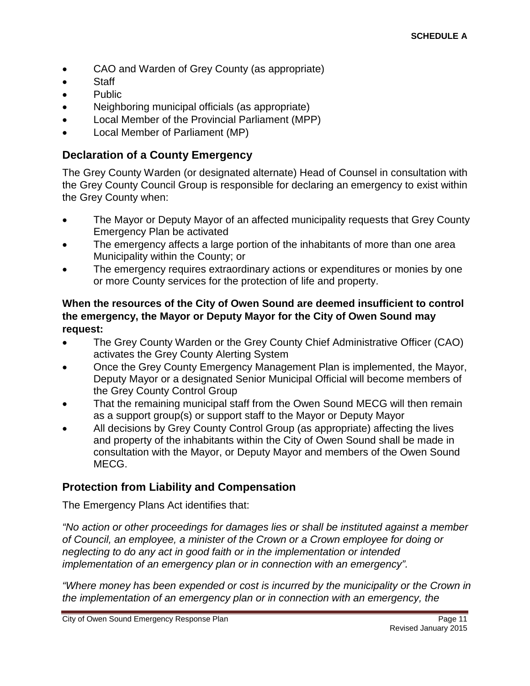- CAO and Warden of Grey County (as appropriate)
- Staff
- Public
- Neighboring municipal officials (as appropriate)
- Local Member of the Provincial Parliament (MPP)
- Local Member of Parliament (MP)

#### <span id="page-10-0"></span>**Declaration of a County Emergency**

The Grey County Warden (or designated alternate) Head of Counsel in consultation with the Grey County Council Group is responsible for declaring an emergency to exist within the Grey County when:

- The Mayor or Deputy Mayor of an affected municipality requests that Grey County Emergency Plan be activated
- The emergency affects a large portion of the inhabitants of more than one area Municipality within the County; or
- The emergency requires extraordinary actions or expenditures or monies by one or more County services for the protection of life and property.

#### **When the resources of the City of Owen Sound are deemed insufficient to control the emergency, the Mayor or Deputy Mayor for the City of Owen Sound may request:**

- The Grey County Warden or the Grey County Chief Administrative Officer (CAO) activates the Grey County Alerting System
- Once the Grey County Emergency Management Plan is implemented, the Mayor, Deputy Mayor or a designated Senior Municipal Official will become members of the Grey County Control Group
- That the remaining municipal staff from the Owen Sound MECG will then remain as a support group(s) or support staff to the Mayor or Deputy Mayor
- All decisions by Grey County Control Group (as appropriate) affecting the lives and property of the inhabitants within the City of Owen Sound shall be made in consultation with the Mayor, or Deputy Mayor and members of the Owen Sound MECG.

#### <span id="page-10-1"></span>**Protection from Liability and Compensation**

The Emergency Plans Act identifies that:

*"No action or other proceedings for damages lies or shall be instituted against a member of Council, an employee, a minister of the Crown or a Crown employee for doing or neglecting to do any act in good faith or in the implementation or intended implementation of an emergency plan or in connection with an emergency".*

*"Where money has been expended or cost is incurred by the municipality or the Crown in the implementation of an emergency plan or in connection with an emergency, the*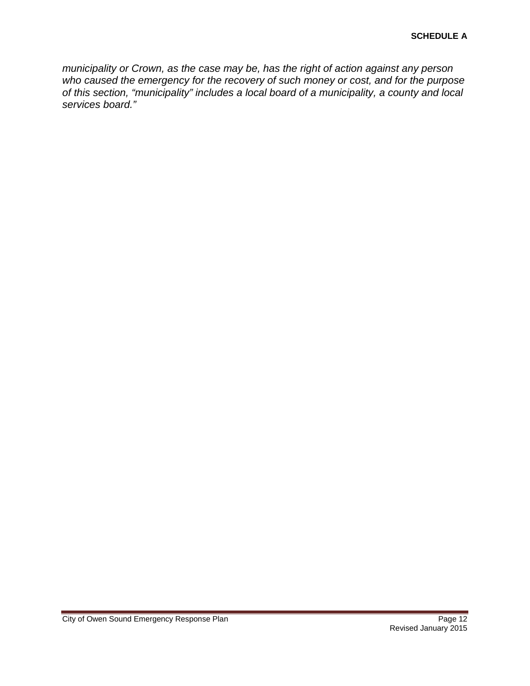*municipality or Crown, as the case may be, has the right of action against any person who caused the emergency for the recovery of such money or cost, and for the purpose of this section, "municipality" includes a local board of a municipality, a county and local services board."*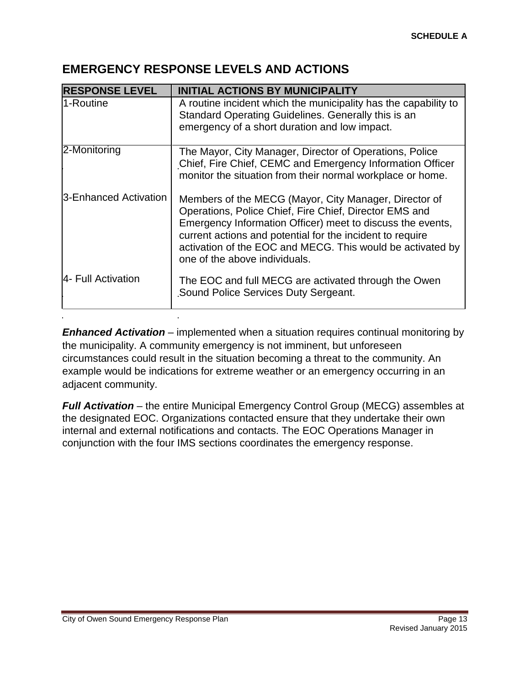#### <span id="page-12-0"></span>**EMERGENCY RESPONSE LEVELS AND ACTIONS**

| <b>RESPONSE LEVEL</b> | <b>INITIAL ACTIONS BY MUNICIPALITY</b>                                                                                                                                                                                                                                                                                                    |
|-----------------------|-------------------------------------------------------------------------------------------------------------------------------------------------------------------------------------------------------------------------------------------------------------------------------------------------------------------------------------------|
| 1-Routine             | A routine incident which the municipality has the capability to<br>Standard Operating Guidelines. Generally this is an<br>emergency of a short duration and low impact.                                                                                                                                                                   |
| 2-Monitoring          | The Mayor, City Manager, Director of Operations, Police<br>Chief, Fire Chief, CEMC and Emergency Information Officer<br>monitor the situation from their normal workplace or home.                                                                                                                                                        |
| 3-Enhanced Activation | Members of the MECG (Mayor, City Manager, Director of<br>Operations, Police Chief, Fire Chief, Director EMS and<br>Emergency Information Officer) meet to discuss the events,<br>current actions and potential for the incident to require<br>activation of the EOC and MECG. This would be activated by<br>one of the above individuals. |
| 4- Full Activation    | The EOC and full MECG are activated through the Owen<br>Sound Police Services Duty Sergeant.                                                                                                                                                                                                                                              |

**Enhanced Activation** – implemented when a situation requires continual monitoring by the municipality. A community emergency is not imminent, but unforeseen circumstances could result in the situation becoming a threat to the community. An example would be indications for extreme weather or an emergency occurring in an adjacent community.

*Full Activation* – the entire Municipal Emergency Control Group (MECG) assembles at the designated EOC. Organizations contacted ensure that they undertake their own internal and external notifications and contacts. The EOC Operations Manager in conjunction with the four IMS sections coordinates the emergency response.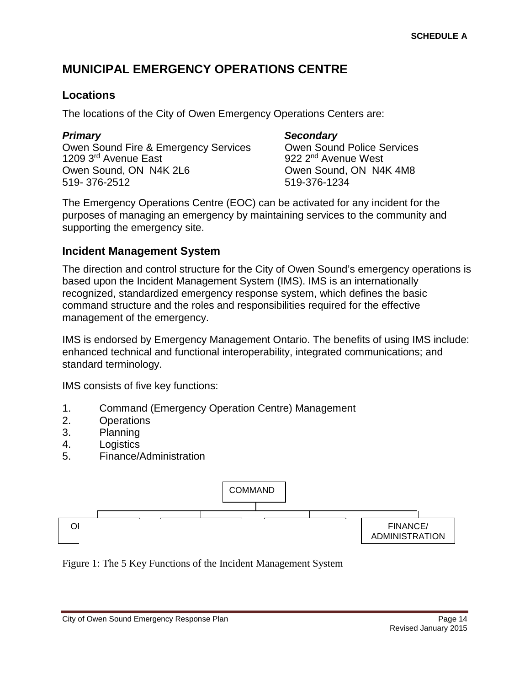# <span id="page-13-0"></span>**MUNICIPAL EMERGENCY OPERATIONS CENTRE**

#### <span id="page-13-1"></span>**Locations**

The locations of the City of Owen Emergency Operations Centers are:

#### *Primary Secondary* Owen Sound Fire & Emergency Services Cowen Sound Police Services<br>1209 3<sup>rd</sup> Avenue East 200 922 2<sup>nd</sup> Avenue West Owen Sound, ON N4K 2L6 **CONDUG AND SOUNDER SOUNDER SOUNDER** ON N4K 4M8 519- 376-2512 519-376-1234

922 2<sup>nd</sup> Avenue West

The Emergency Operations Centre (EOC) can be activated for any incident for the purposes of managing an emergency by maintaining services to the community and supporting the emergency site.

#### <span id="page-13-2"></span>**Incident Management System**

The direction and control structure for the City of Owen Sound's emergency operations is based upon the Incident Management System (IMS). IMS is an internationally recognized, standardized emergency response system, which defines the basic command structure and the roles and responsibilities required for the effective management of the emergency.

IMS is endorsed by Emergency Management Ontario. The benefits of using IMS include: enhanced technical and functional interoperability, integrated communications; and standard terminology.

IMS consists of five key functions:

- 1. Command (Emergency Operation Centre) Management
- 2. Operations
- 3. Planning
- 4. Logistics
- 5. Finance/Administration



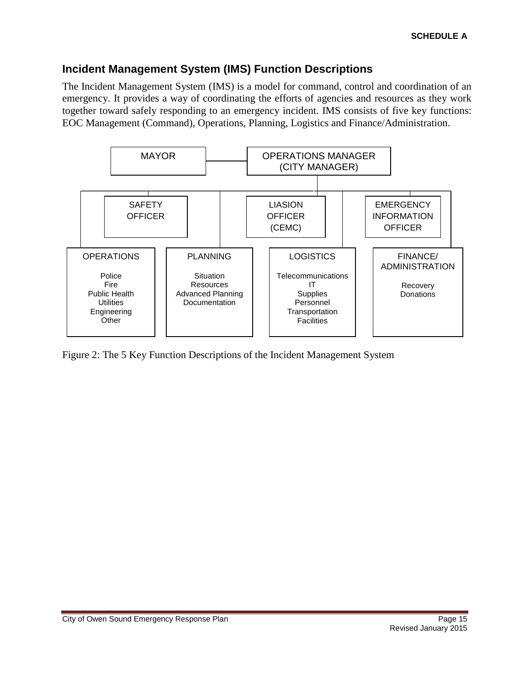#### <span id="page-14-0"></span>**Incident Management System (IMS) Function Descriptions**

The Incident Management System (IMS) is a model for command, control and coordination of an emergency. It provides a way of coordinating the efforts of agencies and resources as they work together toward safely responding to an emergency incident. IMS consists of five key functions: EOC Management (Command), Operations, Planning, Logistics and Finance/Administration.



Figure 2: The 5 Key Function Descriptions of the Incident Management System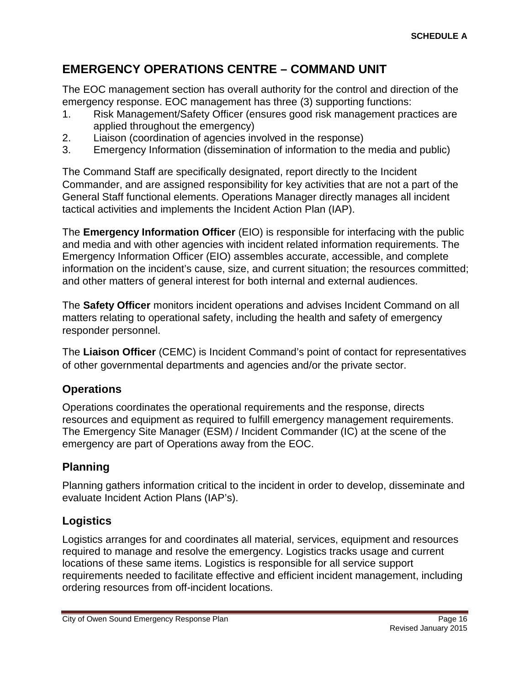# <span id="page-15-0"></span>**EMERGENCY OPERATIONS CENTRE – COMMAND UNIT**

The EOC management section has overall authority for the control and direction of the emergency response. EOC management has three (3) supporting functions:

- 1. Risk Management/Safety Officer (ensures good risk management practices are applied throughout the emergency)
- 2. Liaison (coordination of agencies involved in the response)
- 3. Emergency Information (dissemination of information to the media and public)

The Command Staff are specifically designated, report directly to the Incident Commander, and are assigned responsibility for key activities that are not a part of the General Staff functional elements. Operations Manager directly manages all incident tactical activities and implements the Incident Action Plan (IAP).

The **Emergency Information Officer** (EIO) is responsible for interfacing with the public and media and with other agencies with incident related information requirements. The Emergency Information Officer (EIO) assembles accurate, accessible, and complete information on the incident's cause, size, and current situation; the resources committed; and other matters of general interest for both internal and external audiences.

The **Safety Officer** monitors incident operations and advises Incident Command on all matters relating to operational safety, including the health and safety of emergency responder personnel.

The **Liaison Officer** (CEMC) is Incident Command's point of contact for representatives of other governmental departments and agencies and/or the private sector.

# <span id="page-15-1"></span>**Operations**

Operations coordinates the operational requirements and the response, directs resources and equipment as required to fulfill emergency management requirements. The Emergency Site Manager (ESM) / Incident Commander (IC) at the scene of the emergency are part of Operations away from the EOC.

# <span id="page-15-2"></span>**Planning**

Planning gathers information critical to the incident in order to develop, disseminate and evaluate Incident Action Plans (IAP's).

# <span id="page-15-3"></span>**Logistics**

Logistics arranges for and coordinates all material, services, equipment and resources required to manage and resolve the emergency. Logistics tracks usage and current locations of these same items. Logistics is responsible for all service support requirements needed to facilitate effective and efficient incident management, including ordering resources from off-incident locations.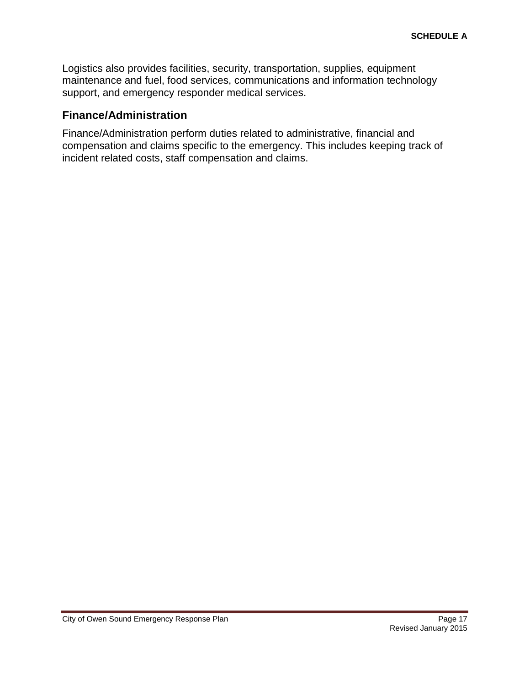Logistics also provides facilities, security, transportation, supplies, equipment maintenance and fuel, food services, communications and information technology support, and emergency responder medical services.

#### <span id="page-16-0"></span>**Finance/Administration**

Finance/Administration perform duties related to administrative, financial and compensation and claims specific to the emergency. This includes keeping track of incident related costs, staff compensation and claims.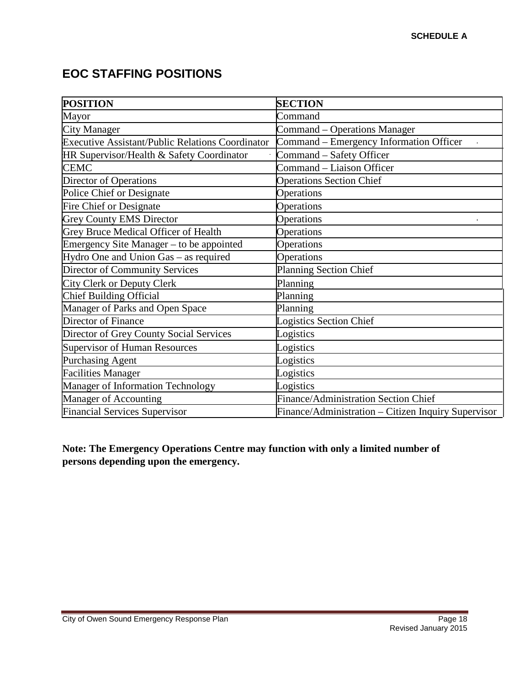# <span id="page-17-0"></span>**EOC STAFFING POSITIONS**

| <b>POSITION</b>                                         | <b>SECTION</b>                                      |
|---------------------------------------------------------|-----------------------------------------------------|
| Mayor                                                   | Command                                             |
| <b>City Manager</b>                                     | Command – Operations Manager                        |
| <b>Executive Assistant/Public Relations Coordinator</b> | Command – Emergency Information Officer             |
| HR Supervisor/Health & Safety Coordinator               | Command - Safety Officer                            |
| <b>CEMC</b>                                             | Command - Liaison Officer                           |
| Director of Operations                                  | <b>Operations Section Chief</b>                     |
| Police Chief or Designate                               | Operations                                          |
| <b>Fire Chief or Designate</b>                          | Operations                                          |
| <b>Grey County EMS Director</b>                         | Operations                                          |
| <b>Grey Bruce Medical Officer of Health</b>             | Operations                                          |
| Emergency Site Manager - to be appointed                | Operations                                          |
| Hydro One and Union Gas - as required                   | Operations                                          |
| <b>Director of Community Services</b>                   | <b>Planning Section Chief</b>                       |
| <b>City Clerk or Deputy Clerk</b>                       | Planning                                            |
| Chief Building Official                                 | Planning                                            |
| Manager of Parks and Open Space                         | Planning                                            |
| Director of Finance                                     | <b>Logistics Section Chief</b>                      |
| Director of Grey County Social Services                 | Logistics                                           |
| Supervisor of Human Resources                           | Logistics                                           |
| Purchasing Agent                                        | Logistics                                           |
| Facilities Manager                                      | Logistics                                           |
| Manager of Information Technology                       | Logistics                                           |
| Manager of Accounting                                   | Finance/Administration Section Chief                |
| <b>Financial Services Supervisor</b>                    | Finance/Administration - Citizen Inquiry Supervisor |

**Note: The Emergency Operations Centre may function with only a limited number of persons depending upon the emergency.**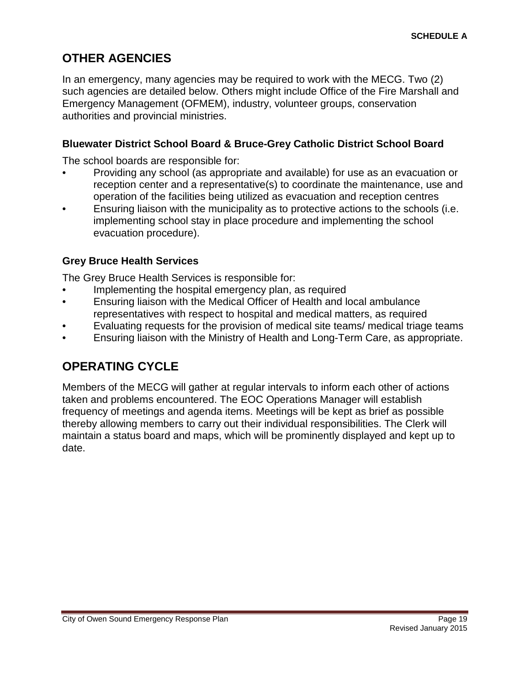# <span id="page-18-0"></span>**OTHER AGENCIES**

In an emergency, many agencies may be required to work with the MECG. Two (2) such agencies are detailed below. Others might include Office of the Fire Marshall and Emergency Management (OFMEM), industry, volunteer groups, conservation authorities and provincial ministries.

#### <span id="page-18-1"></span>**Bluewater District School Board & Bruce-Grey Catholic District School Board**

The school boards are responsible for:

- Providing any school (as appropriate and available) for use as an evacuation or reception center and a representative(s) to coordinate the maintenance, use and operation of the facilities being utilized as evacuation and reception centres
- Ensuring liaison with the municipality as to protective actions to the schools (i.e. implementing school stay in place procedure and implementing the school evacuation procedure).

#### <span id="page-18-2"></span>**Grey Bruce Health Services**

The Grey Bruce Health Services is responsible for:

- Implementing the hospital emergency plan, as required
- Ensuring liaison with the Medical Officer of Health and local ambulance representatives with respect to hospital and medical matters, as required
- Evaluating requests for the provision of medical site teams/ medical triage teams
- <span id="page-18-3"></span>• Ensuring liaison with the Ministry of Health and Long-Term Care, as appropriate.

# **OPERATING CYCLE**

Members of the MECG will gather at regular intervals to inform each other of actions taken and problems encountered. The EOC Operations Manager will establish frequency of meetings and agenda items. Meetings will be kept as brief as possible thereby allowing members to carry out their individual responsibilities. The Clerk will maintain a status board and maps, which will be prominently displayed and kept up to date.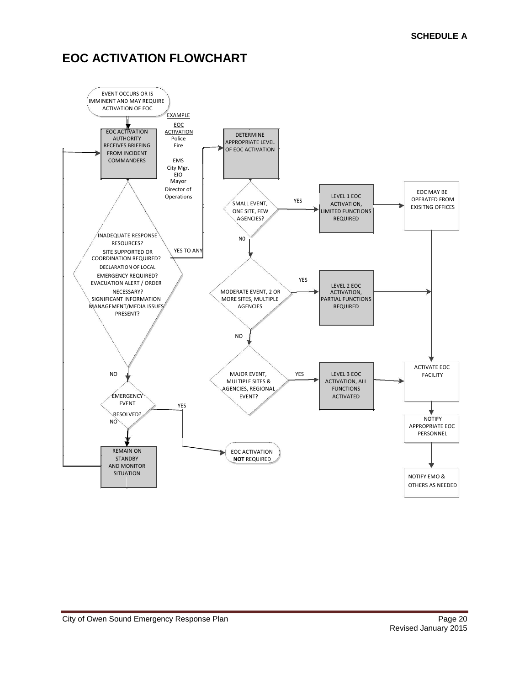# <span id="page-19-0"></span>**EOC ACTIVATION FLOWCHART**

<span id="page-19-1"></span>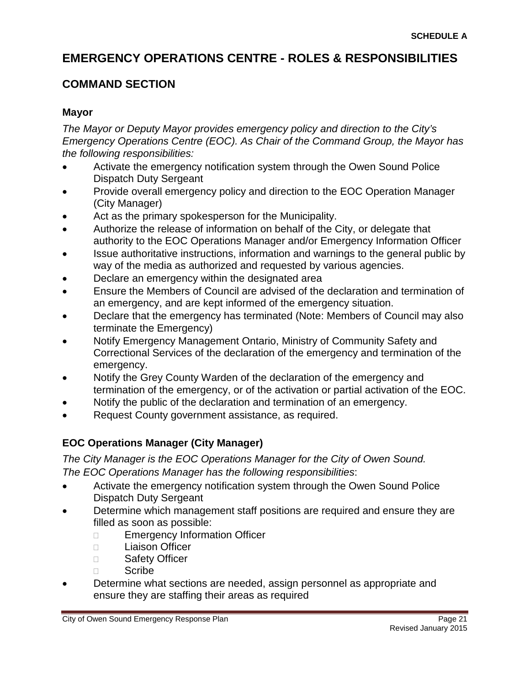# **EMERGENCY OPERATIONS CENTRE - ROLES & RESPONSIBILITIES**

### <span id="page-20-0"></span>**COMMAND SECTION**

#### <span id="page-20-1"></span>**Mayor**

*The Mayor or Deputy Mayor provides emergency policy and direction to the City's Emergency Operations Centre (EOC). As Chair of the Command Group, the Mayor has the following responsibilities:*

- Activate the emergency notification system through the Owen Sound Police Dispatch Duty Sergeant
- Provide overall emergency policy and direction to the EOC Operation Manager (City Manager)
- Act as the primary spokesperson for the Municipality.
- Authorize the release of information on behalf of the City, or delegate that authority to the EOC Operations Manager and/or Emergency Information Officer
- Issue authoritative instructions, information and warnings to the general public by way of the media as authorized and requested by various agencies.
- Declare an emergency within the designated area
- Ensure the Members of Council are advised of the declaration and termination of an emergency, and are kept informed of the emergency situation.
- Declare that the emergency has terminated (Note: Members of Council may also terminate the Emergency)
- Notify Emergency Management Ontario, Ministry of Community Safety and Correctional Services of the declaration of the emergency and termination of the emergency.
- Notify the Grey County Warden of the declaration of the emergency and termination of the emergency, or of the activation or partial activation of the EOC.
- Notify the public of the declaration and termination of an emergency.
- <span id="page-20-2"></span>• Request County government assistance, as required.

# **EOC Operations Manager (City Manager)**

*The City Manager is the EOC Operations Manager for the City of Owen Sound. The EOC Operations Manager has the following responsibilities*:

- Activate the emergency notification system through the Owen Sound Police Dispatch Duty Sergeant
- Determine which management staff positions are required and ensure they are filled as soon as possible:
	- □ Emergency Information Officer
	- Liaison Officer
	- □ Safety Officer
	- Scribe
- Determine what sections are needed, assign personnel as appropriate and ensure they are staffing their areas as required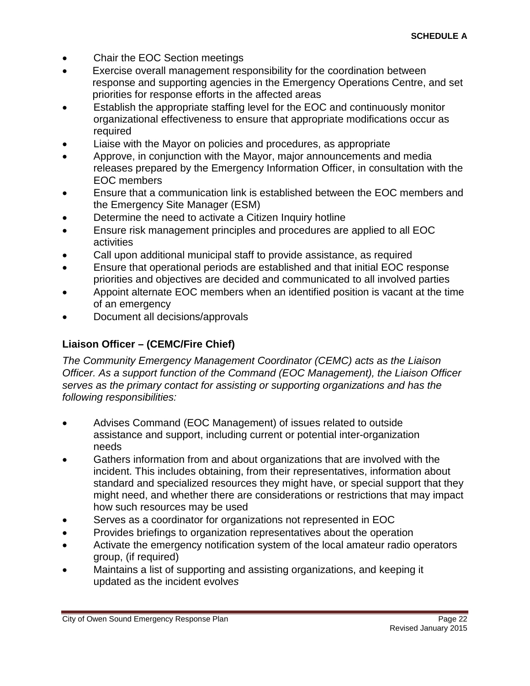- Chair the EOC Section meetings
- Exercise overall management responsibility for the coordination between response and supporting agencies in the Emergency Operations Centre, and set priorities for response efforts in the affected areas
- Establish the appropriate staffing level for the EOC and continuously monitor organizational effectiveness to ensure that appropriate modifications occur as required
- Liaise with the Mayor on policies and procedures, as appropriate
- Approve, in conjunction with the Mayor, major announcements and media releases prepared by the Emergency Information Officer, in consultation with the EOC members
- Ensure that a communication link is established between the EOC members and the Emergency Site Manager (ESM)
- Determine the need to activate a Citizen Inquiry hotline
- Ensure risk management principles and procedures are applied to all EOC activities
- Call upon additional municipal staff to provide assistance, as required
- Ensure that operational periods are established and that initial EOC response priorities and objectives are decided and communicated to all involved parties
- Appoint alternate EOC members when an identified position is vacant at the time of an emergency
- <span id="page-21-0"></span>• Document all decisions/approvals

#### **Liaison Officer – (CEMC/Fire Chief)**

*The Community Emergency Management Coordinator (CEMC) acts as the Liaison Officer. As a support function of the Command (EOC Management), the Liaison Officer serves as the primary contact for assisting or supporting organizations and has the following responsibilities:*

- Advises Command (EOC Management) of issues related to outside assistance and support, including current or potential inter-organization needs
- Gathers information from and about organizations that are involved with the incident. This includes obtaining, from their representatives, information about standard and specialized resources they might have, or special support that they might need, and whether there are considerations or restrictions that may impact how such resources may be used
- Serves as a coordinator for organizations not represented in EOC
- Provides briefings to organization representatives about the operation
- Activate the emergency notification system of the local amateur radio operators group, (if required)
- Maintains a list of supporting and assisting organizations, and keeping it updated as the incident evolve*s*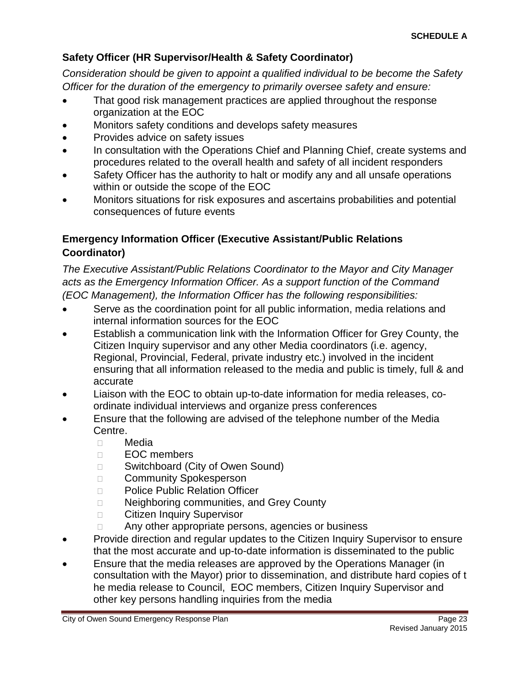#### <span id="page-22-0"></span>**Safety Officer (HR Supervisor/Health & Safety Coordinator)**

*Consideration should be given to appoint a qualified individual to be become the Safety Officer for the duration of the emergency to primarily oversee safety and ensure:*

- That good risk management practices are applied throughout the response organization at the EOC
- Monitors safety conditions and develops safety measures
- Provides advice on safety issues
- In consultation with the Operations Chief and Planning Chief, create systems and procedures related to the overall health and safety of all incident responders
- Safety Officer has the authority to halt or modify any and all unsafe operations within or outside the scope of the EOC
- Monitors situations for risk exposures and ascertains probabilities and potential consequences of future events

#### <span id="page-22-1"></span>**Emergency Information Officer (Executive Assistant/Public Relations Coordinator)**

*The Executive Assistant/Public Relations Coordinator to the Mayor and City Manager acts as the Emergency Information Officer. As a support function of the Command (EOC Management), the Information Officer has the following responsibilities:*

- Serve as the coordination point for all public information, media relations and internal information sources for the EOC
- Establish a communication link with the Information Officer for Grey County, the Citizen Inquiry supervisor and any other Media coordinators (i.e. agency, Regional, Provincial, Federal, private industry etc.) involved in the incident ensuring that all information released to the media and public is timely, full & and accurate
- Liaison with the EOC to obtain up-to-date information for media releases, coordinate individual interviews and organize press conferences
- Ensure that the following are advised of the telephone number of the Media Centre.
	- Media
	- D**EOC** members
	- □ Switchboard (City of Owen Sound)
	- □ Community Spokesperson
	- D Police Public Relation Officer
	- □ Neighboring communities, and Grey County
	- □ Citizen Inquiry Supervisor
	- □ Any other appropriate persons, agencies or business
- Provide direction and regular updates to the Citizen Inquiry Supervisor to ensure that the most accurate and up-to-date information is disseminated to the public
- Ensure that the media releases are approved by the Operations Manager (in consultation with the Mayor) prior to dissemination, and distribute hard copies of t he media release to Council, EOC members, Citizen Inquiry Supervisor and other key persons handling inquiries from the media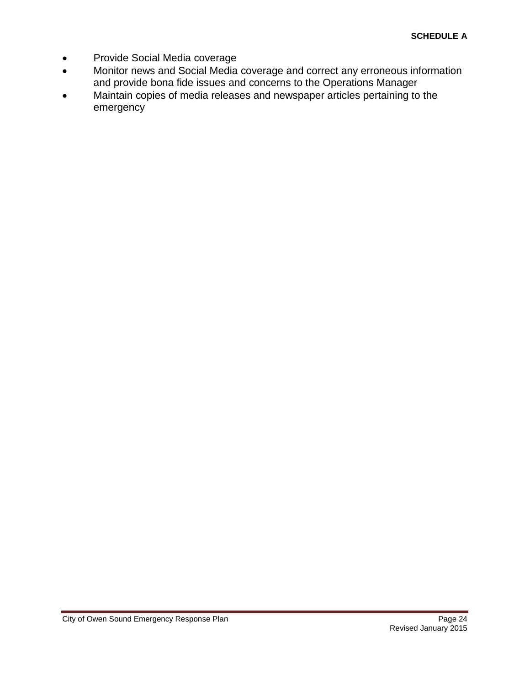- Provide Social Media coverage
- Monitor news and Social Media coverage and correct any erroneous information and provide bona fide issues and concerns to the Operations Manager
- Maintain copies of media releases and newspaper articles pertaining to the emergency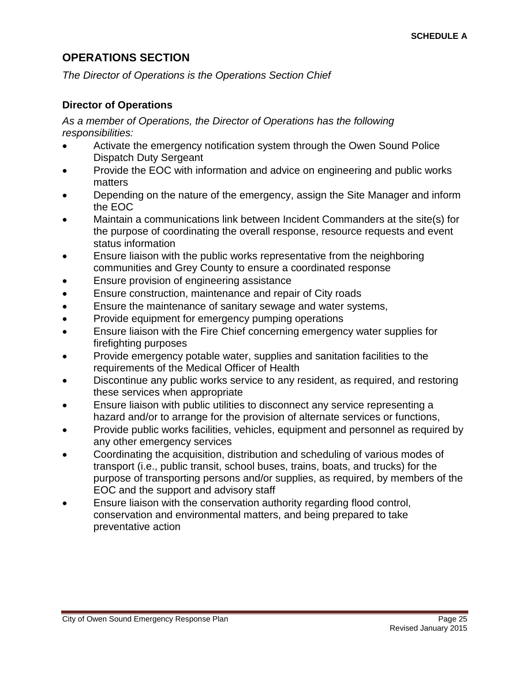#### <span id="page-24-0"></span>**OPERATIONS SECTION**

*The Director of Operations is the Operations Section Chief*

#### <span id="page-24-1"></span>**Director of Operations**

*As a member of Operations, the Director of Operations has the following responsibilities:*

- Activate the emergency notification system through the Owen Sound Police Dispatch Duty Sergeant
- Provide the EOC with information and advice on engineering and public works matters
- Depending on the nature of the emergency, assign the Site Manager and inform the EOC
- Maintain a communications link between Incident Commanders at the site(s) for the purpose of coordinating the overall response, resource requests and event status information
- Ensure liaison with the public works representative from the neighboring communities and Grey County to ensure a coordinated response
- Ensure provision of engineering assistance
- Ensure construction, maintenance and repair of City roads
- Ensure the maintenance of sanitary sewage and water systems,
- Provide equipment for emergency pumping operations
- Ensure liaison with the Fire Chief concerning emergency water supplies for firefighting purposes
- Provide emergency potable water, supplies and sanitation facilities to the requirements of the Medical Officer of Health
- Discontinue any public works service to any resident, as required, and restoring these services when appropriate
- Ensure liaison with public utilities to disconnect any service representing a hazard and/or to arrange for the provision of alternate services or functions,
- Provide public works facilities, vehicles, equipment and personnel as required by any other emergency services
- Coordinating the acquisition, distribution and scheduling of various modes of transport (i.e., public transit, school buses, trains, boats, and trucks) for the purpose of transporting persons and/or supplies, as required, by members of the EOC and the support and advisory staff
- Ensure liaison with the conservation authority regarding flood control, conservation and environmental matters, and being prepared to take preventative action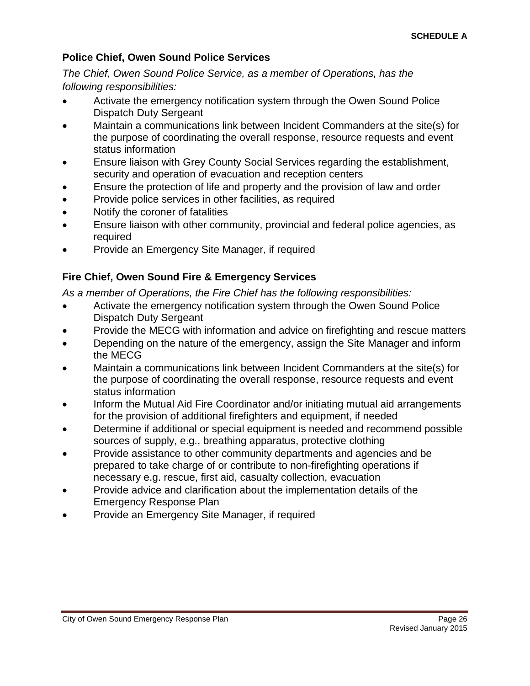#### <span id="page-25-0"></span>**Police Chief, Owen Sound Police Services**

*The Chief, Owen Sound Police Service, as a member of Operations, has the following responsibilities:*

- Activate the emergency notification system through the Owen Sound Police Dispatch Duty Sergeant
- Maintain a communications link between Incident Commanders at the site(s) for the purpose of coordinating the overall response, resource requests and event status information
- Ensure liaison with Grey County Social Services regarding the establishment, security and operation of evacuation and reception centers
- Ensure the protection of life and property and the provision of law and order
- Provide police services in other facilities, as required
- Notify the coroner of fatalities
- Ensure liaison with other community, provincial and federal police agencies, as required
- <span id="page-25-1"></span>• Provide an Emergency Site Manager, if required

#### **Fire Chief, Owen Sound Fire & Emergency Services**

*As a member of Operations, the Fire Chief has the following responsibilities:*

- Activate the emergency notification system through the Owen Sound Police Dispatch Duty Sergeant
- Provide the MECG with information and advice on firefighting and rescue matters
- Depending on the nature of the emergency, assign the Site Manager and inform the MECG
- Maintain a communications link between Incident Commanders at the site(s) for the purpose of coordinating the overall response, resource requests and event status information
- Inform the Mutual Aid Fire Coordinator and/or initiating mutual aid arrangements for the provision of additional firefighters and equipment, if needed
- Determine if additional or special equipment is needed and recommend possible sources of supply, e.g., breathing apparatus, protective clothing
- Provide assistance to other community departments and agencies and be prepared to take charge of or contribute to non-firefighting operations if necessary e.g. rescue, first aid, casualty collection, evacuation
- Provide advice and clarification about the implementation details of the Emergency Response Plan
- Provide an Emergency Site Manager, if required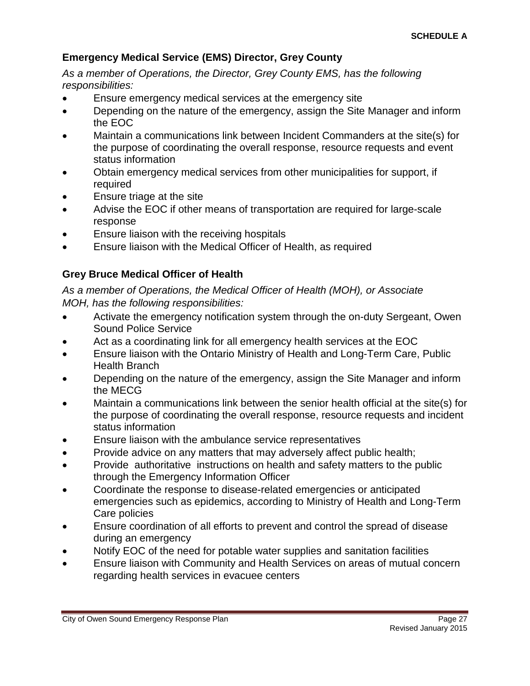#### <span id="page-26-0"></span>**Emergency Medical Service (EMS) Director, Grey County**

*As a member of Operations, the Director, Grey County EMS, has the following responsibilities:*

- Ensure emergency medical services at the emergency site
- Depending on the nature of the emergency, assign the Site Manager and inform the EOC
- Maintain a communications link between Incident Commanders at the site(s) for the purpose of coordinating the overall response, resource requests and event status information
- Obtain emergency medical services from other municipalities for support, if required
- Ensure triage at the site
- Advise the EOC if other means of transportation are required for large-scale response
- Ensure liaison with the receiving hospitals
- <span id="page-26-1"></span>• Ensure liaison with the Medical Officer of Health, as required

#### **Grey Bruce Medical Officer of Health**

*As a member of Operations, the Medical Officer of Health (MOH), or Associate MOH, has the following responsibilities:*

- Activate the emergency notification system through the on-duty Sergeant, Owen Sound Police Service
- Act as a coordinating link for all emergency health services at the EOC
- Ensure liaison with the Ontario Ministry of Health and Long-Term Care, Public Health Branch
- Depending on the nature of the emergency, assign the Site Manager and inform the MECG
- Maintain a communications link between the senior health official at the site(s) for the purpose of coordinating the overall response, resource requests and incident status information
- Ensure liaison with the ambulance service representatives
- Provide advice on any matters that may adversely affect public health;
- Provide authoritative instructions on health and safety matters to the public through the Emergency Information Officer
- Coordinate the response to disease-related emergencies or anticipated emergencies such as epidemics, according to Ministry of Health and Long-Term Care policies
- Ensure coordination of all efforts to prevent and control the spread of disease during an emergency
- Notify EOC of the need for potable water supplies and sanitation facilities
- Ensure liaison with Community and Health Services on areas of mutual concern regarding health services in evacuee centers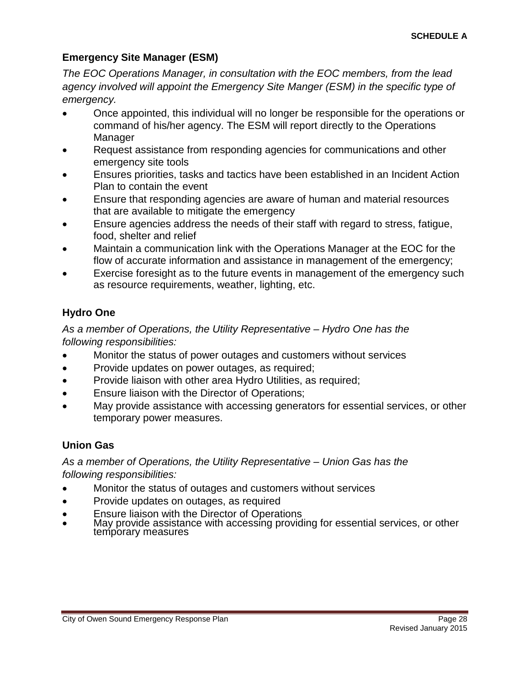#### <span id="page-27-0"></span>**Emergency Site Manager (ESM)**

*The EOC Operations Manager, in consultation with the EOC members, from the lead agency involved will appoint the Emergency Site Manger (ESM) in the specific type of emergency.*

- Once appointed, this individual will no longer be responsible for the operations or command of his/her agency. The ESM will report directly to the Operations Manager
- Request assistance from responding agencies for communications and other emergency site tools
- Ensures priorities, tasks and tactics have been established in an Incident Action Plan to contain the event
- Ensure that responding agencies are aware of human and material resources that are available to mitigate the emergency
- Ensure agencies address the needs of their staff with regard to stress, fatigue, food, shelter and relief
- Maintain a communication link with the Operations Manager at the EOC for the flow of accurate information and assistance in management of the emergency;
- Exercise foresight as to the future events in management of the emergency such as resource requirements, weather, lighting, etc.

#### <span id="page-27-1"></span>**Hydro One**

*As a member of Operations, the Utility Representative – Hydro One has the following responsibilities:*

- Monitor the status of power outages and customers without services
- Provide updates on power outages, as required;
- Provide liaison with other area Hydro Utilities, as required;
- Ensure liaison with the Director of Operations;
- May provide assistance with accessing generators for essential services, or other temporary power measures.

#### <span id="page-27-2"></span>**Union Gas**

*As a member of Operations, the Utility Representative – Union Gas has the following responsibilities:*

- Monitor the status of outages and customers without services
- Provide updates on outages, as required
- 
- Ensure liaison with the Director of Operations<br>May provide assistance with accessing providing for essential services, or other<br>temporary measures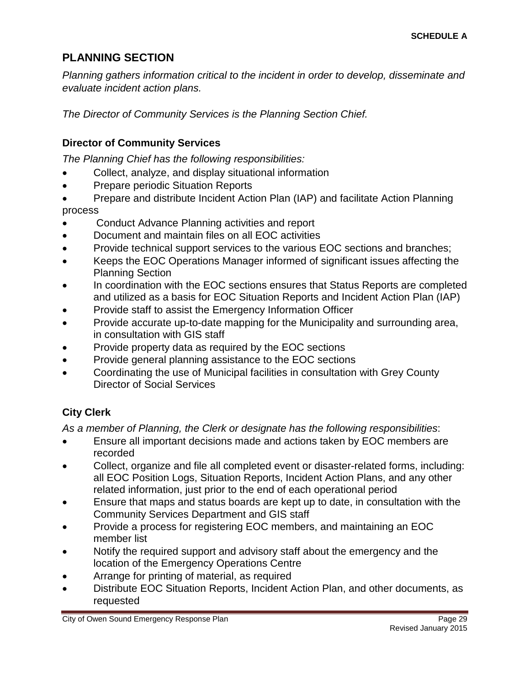# <span id="page-28-0"></span>**PLANNING SECTION**

*Planning gathers information critical to the incident in order to develop, disseminate and evaluate incident action plans.*

<span id="page-28-1"></span>*The Director of Community Services is the Planning Section Chief.*

#### **Director of Community Services**

*The Planning Chief has the following responsibilities:*

- Collect, analyze, and display situational information
- Prepare periodic Situation Reports
- Prepare and distribute Incident Action Plan (IAP) and facilitate Action Planning process
- Conduct Advance Planning activities and report
- Document and maintain files on all EOC activities
- Provide technical support services to the various EOC sections and branches;
- Keeps the EOC Operations Manager informed of significant issues affecting the Planning Section
- In coordination with the EOC sections ensures that Status Reports are completed and utilized as a basis for EOC Situation Reports and Incident Action Plan (IAP)
- Provide staff to assist the Emergency Information Officer
- Provide accurate up-to-date mapping for the Municipality and surrounding area, in consultation with GIS staff
- Provide property data as required by the EOC sections
- Provide general planning assistance to the EOC sections
- Coordinating the use of Municipal facilities in consultation with Grey County Director of Social Services

#### <span id="page-28-2"></span>**City Clerk**

*As a member of Planning, the Clerk or designate has the following responsibilities*:

- Ensure all important decisions made and actions taken by EOC members are recorded
- Collect, organize and file all completed event or disaster-related forms, including: all EOC Position Logs, Situation Reports, Incident Action Plans, and any other related information, just prior to the end of each operational period
- Ensure that maps and status boards are kept up to date, in consultation with the Community Services Department and GIS staff
- Provide a process for registering EOC members, and maintaining an EOC member list
- Notify the required support and advisory staff about the emergency and the location of the Emergency Operations Centre
- Arrange for printing of material, as required
- Distribute EOC Situation Reports, Incident Action Plan, and other documents, as requested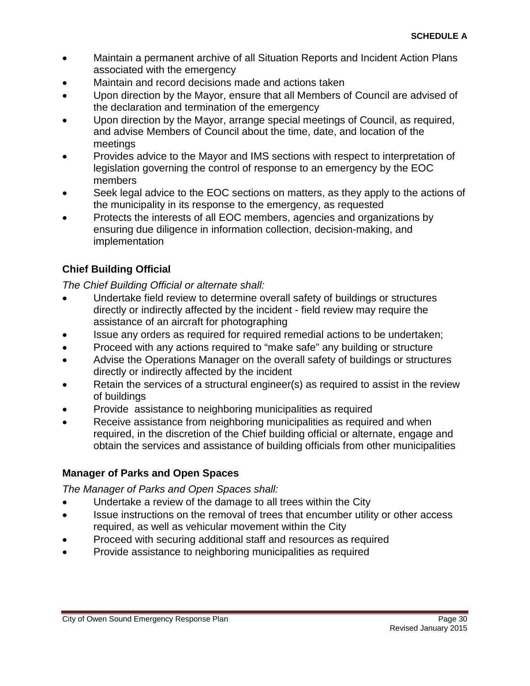- Maintain a permanent archive of all Situation Reports and Incident Action Plans associated with the emergency
- Maintain and record decisions made and actions taken
- Upon direction by the Mayor, ensure that all Members of Council are advised of the declaration and termination of the emergency
- Upon direction by the Mayor, arrange special meetings of Council, as required, and advise Members of Council about the time, date, and location of the meetings
- Provides advice to the Mayor and IMS sections with respect to interpretation of legislation governing the control of response to an emergency by the EOC members
- Seek legal advice to the EOC sections on matters, as they apply to the actions of the municipality in its response to the emergency, as requested
- Protects the interests of all EOC members, agencies and organizations by ensuring due diligence in information collection, decision-making, and implementation

### <span id="page-29-0"></span>**Chief Building Official**

*The Chief Building Official or alternate shall:*

- Undertake field review to determine overall safety of buildings or structures directly or indirectly affected by the incident - field review may require the assistance of an aircraft for photographing
- Issue any orders as required for required remedial actions to be undertaken;
- Proceed with any actions required to "make safe" any building or structure
- Advise the Operations Manager on the overall safety of buildings or structures directly or indirectly affected by the incident
- Retain the services of a structural engineer(s) as required to assist in the review of buildings
- Provide assistance to neighboring municipalities as required
- Receive assistance from neighboring municipalities as required and when required, in the discretion of the Chief building official or alternate, engage and obtain the services and assistance of building officials from other municipalities

#### <span id="page-29-1"></span>**Manager of Parks and Open Spaces**

*The Manager of Parks and Open Spaces shall:*

- Undertake a review of the damage to all trees within the City
- Issue instructions on the removal of trees that encumber utility or other access required, as well as vehicular movement within the City
- Proceed with securing additional staff and resources as required
- Provide assistance to neighboring municipalities as required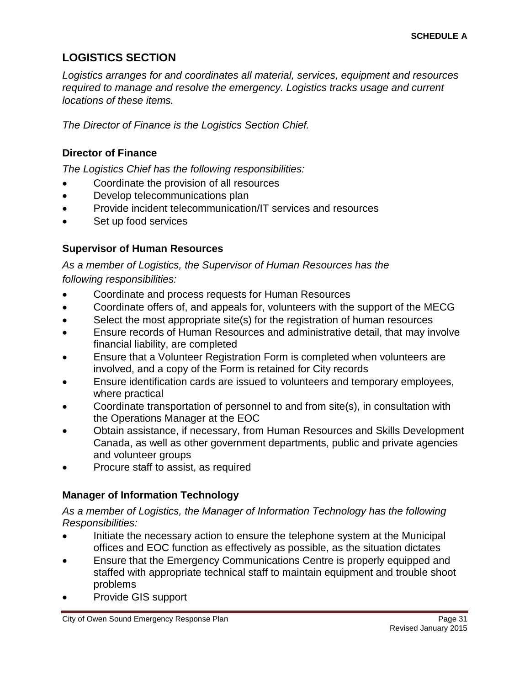### <span id="page-30-0"></span>**LOGISTICS SECTION**

*Logistics arranges for and coordinates all material, services, equipment and resources required to manage and resolve the emergency. Logistics tracks usage and current locations of these items.*

<span id="page-30-1"></span>*The Director of Finance is the Logistics Section Chief.*

#### **Director of Finance**

*The Logistics Chief has the following responsibilities:*

- Coordinate the provision of all resources
- Develop telecommunications plan
- Provide incident telecommunication/IT services and resources
- <span id="page-30-2"></span>Set up food services

#### **Supervisor of Human Resources**

*As a member of Logistics, the Supervisor of Human Resources has the following responsibilities:*

- Coordinate and process requests for Human Resources
- Coordinate offers of, and appeals for, volunteers with the support of the MECG
- Select the most appropriate site(s) for the registration of human resources
- Ensure records of Human Resources and administrative detail, that may involve financial liability, are completed
- Ensure that a Volunteer Registration Form is completed when volunteers are involved, and a copy of the Form is retained for City records
- Ensure identification cards are issued to volunteers and temporary employees, where practical
- Coordinate transportation of personnel to and from site(s), in consultation with the Operations Manager at the EOC
- Obtain assistance, if necessary, from Human Resources and Skills Development Canada, as well as other government departments, public and private agencies and volunteer groups
- <span id="page-30-3"></span>• Procure staff to assist, as required

#### **Manager of Information Technology**

*As a member of Logistics, the Manager of Information Technology has the following Responsibilities:*

- Initiate the necessary action to ensure the telephone system at the Municipal offices and EOC function as effectively as possible, as the situation dictates
- Ensure that the Emergency Communications Centre is properly equipped and staffed with appropriate technical staff to maintain equipment and trouble shoot problems
- Provide GIS support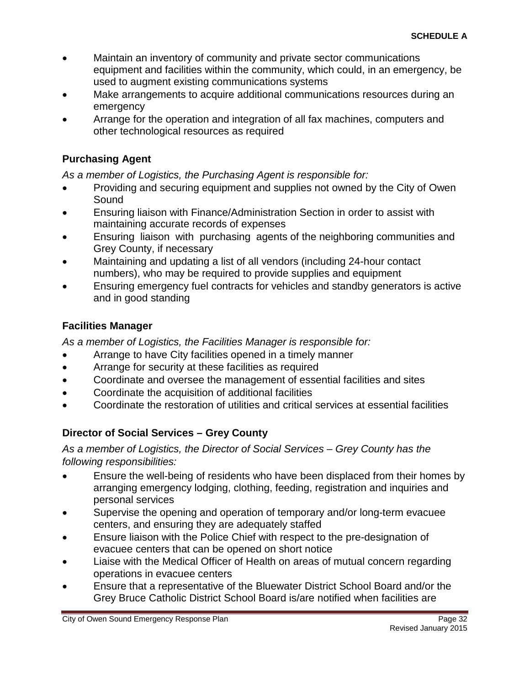- Maintain an inventory of community and private sector communications equipment and facilities within the community, which could, in an emergency, be used to augment existing communications systems
- Make arrangements to acquire additional communications resources during an emergency
- Arrange for the operation and integration of all fax machines, computers and other technological resources as required

#### <span id="page-31-0"></span>**Purchasing Agent**

*As a member of Logistics, the Purchasing Agent is responsible for:*

- Providing and securing equipment and supplies not owned by the City of Owen Sound
- Ensuring liaison with Finance/Administration Section in order to assist with maintaining accurate records of expenses
- Ensuring liaison with purchasing agents of the neighboring communities and Grey County, if necessary
- Maintaining and updating a list of all vendors (including 24-hour contact numbers), who may be required to provide supplies and equipment
- Ensuring emergency fuel contracts for vehicles and standby generators is active and in good standing

#### <span id="page-31-1"></span>**Facilities Manager**

*As a member of Logistics, the Facilities Manager is responsible for:*

- Arrange to have City facilities opened in a timely manner
- Arrange for security at these facilities as required
- Coordinate and oversee the management of essential facilities and sites
- Coordinate the acquisition of additional facilities
- <span id="page-31-2"></span>• Coordinate the restoration of utilities and critical services at essential facilities

#### **Director of Social Services – Grey County**

*As a member of Logistics, the Director of Social Services – Grey County has the following responsibilities:*

- Ensure the well-being of residents who have been displaced from their homes by arranging emergency lodging, clothing, feeding, registration and inquiries and personal services
- Supervise the opening and operation of temporary and/or long-term evacuee centers, and ensuring they are adequately staffed
- Ensure liaison with the Police Chief with respect to the pre-designation of evacuee centers that can be opened on short notice
- Liaise with the Medical Officer of Health on areas of mutual concern regarding operations in evacuee centers
- Ensure that a representative of the Bluewater District School Board and/or the Grey Bruce Catholic District School Board is/are notified when facilities are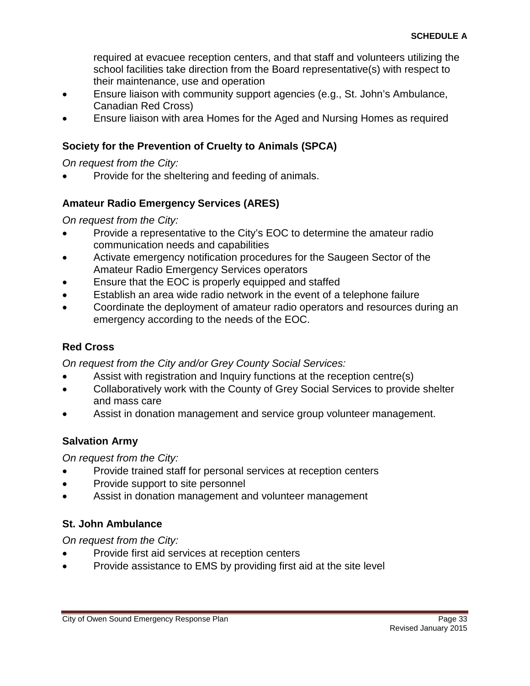required at evacuee reception centers, and that staff and volunteers utilizing the school facilities take direction from the Board representative(s) with respect to their maintenance, use and operation

- Ensure liaison with community support agencies (e.g., St. John's Ambulance, Canadian Red Cross)
- <span id="page-32-0"></span>• Ensure liaison with area Homes for the Aged and Nursing Homes as required

#### **Society for the Prevention of Cruelty to Animals (SPCA)**

*On request from the City:*

<span id="page-32-1"></span>• Provide for the sheltering and feeding of animals.

#### **Amateur Radio Emergency Services (ARES)**

*On request from the City:*

- Provide a representative to the City's EOC to determine the amateur radio communication needs and capabilities
- Activate emergency notification procedures for the Saugeen Sector of the Amateur Radio Emergency Services operators
- Ensure that the EOC is properly equipped and staffed
- Establish an area wide radio network in the event of a telephone failure
- Coordinate the deployment of amateur radio operators and resources during an emergency according to the needs of the EOC.

#### <span id="page-32-2"></span>**Red Cross**

*On request from the City and/or Grey County Social Services:*

- Assist with registration and Inquiry functions at the reception centre(s)
- Collaboratively work with the County of Grey Social Services to provide shelter and mass care
- <span id="page-32-3"></span>Assist in donation management and service group volunteer management.

#### **Salvation Army**

*On request from the City:*

- Provide trained staff for personal services at reception centers
- Provide support to site personnel
- <span id="page-32-4"></span>Assist in donation management and volunteer management

#### **St. John Ambulance**

*On request from the City:*

- Provide first aid services at reception centers
- Provide assistance to EMS by providing first aid at the site level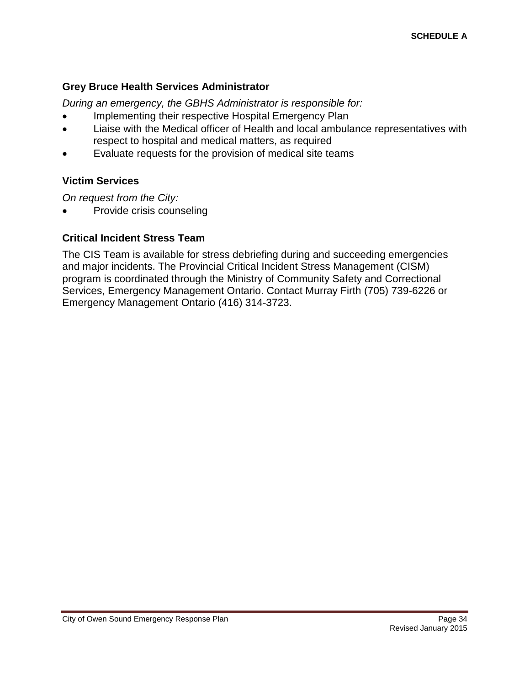#### <span id="page-33-0"></span>**Grey Bruce Health Services Administrator**

*During an emergency, the GBHS Administrator is responsible for:*

- Implementing their respective Hospital Emergency Plan
- Liaise with the Medical officer of Health and local ambulance representatives with respect to hospital and medical matters, as required
- <span id="page-33-1"></span>Evaluate requests for the provision of medical site teams

#### **Victim Services**

*On request from the City:*

<span id="page-33-2"></span>• Provide crisis counseling

#### **Critical Incident Stress Team**

The CIS Team is available for stress debriefing during and succeeding emergencies and major incidents. The Provincial Critical Incident Stress Management (CISM) program is coordinated through the Ministry of Community Safety and Correctional Services, Emergency Management Ontario. Contact Murray Firth (705) 739-6226 or Emergency Management Ontario (416) 314-3723.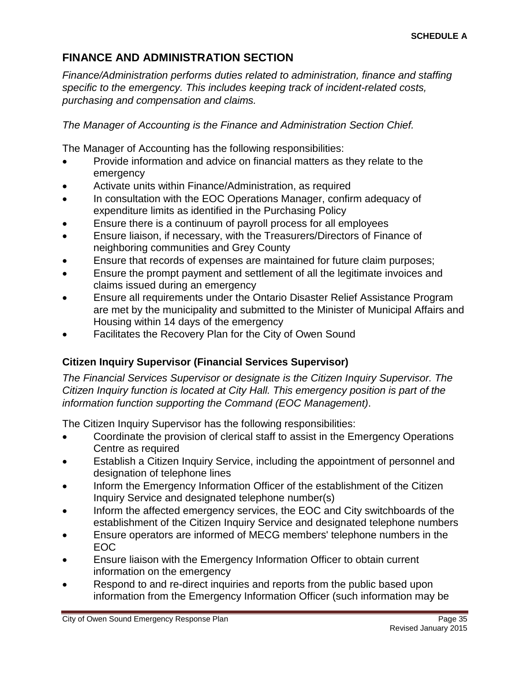# <span id="page-34-0"></span>**FINANCE AND ADMINISTRATION SECTION**

*Finance/Administration performs duties related to administration, finance and staffing specific to the emergency. This includes keeping track of incident-related costs, purchasing and compensation and claims.*

*The Manager of Accounting is the Finance and Administration Section Chief.*

The Manager of Accounting has the following responsibilities:

- Provide information and advice on financial matters as they relate to the emergency
- Activate units within Finance/Administration, as required
- In consultation with the EOC Operations Manager, confirm adequacy of expenditure limits as identified in the Purchasing Policy
- Ensure there is a continuum of payroll process for all employees
- Ensure liaison, if necessary, with the Treasurers/Directors of Finance of neighboring communities and Grey County
- Ensure that records of expenses are maintained for future claim purposes;
- Ensure the prompt payment and settlement of all the legitimate invoices and claims issued during an emergency
- Ensure all requirements under the Ontario Disaster Relief Assistance Program are met by the municipality and submitted to the Minister of Municipal Affairs and Housing within 14 days of the emergency
- <span id="page-34-1"></span>Facilitates the Recovery Plan for the City of Owen Sound

#### **Citizen Inquiry Supervisor (Financial Services Supervisor)**

*The Financial Services Supervisor or designate is the Citizen Inquiry Supervisor. The Citizen Inquiry function is located at City Hall. This emergency position is part of the information function supporting the Command (EOC Management)*.

The Citizen Inquiry Supervisor has the following responsibilities:

- Coordinate the provision of clerical staff to assist in the Emergency Operations Centre as required
- Establish a Citizen Inquiry Service, including the appointment of personnel and designation of telephone lines
- Inform the Emergency Information Officer of the establishment of the Citizen Inquiry Service and designated telephone number(s)
- Inform the affected emergency services, the EOC and City switchboards of the establishment of the Citizen Inquiry Service and designated telephone numbers
- Ensure operators are informed of MECG members' telephone numbers in the EOC
- Ensure liaison with the Emergency Information Officer to obtain current information on the emergency
- Respond to and re-direct inquiries and reports from the public based upon information from the Emergency Information Officer (such information may be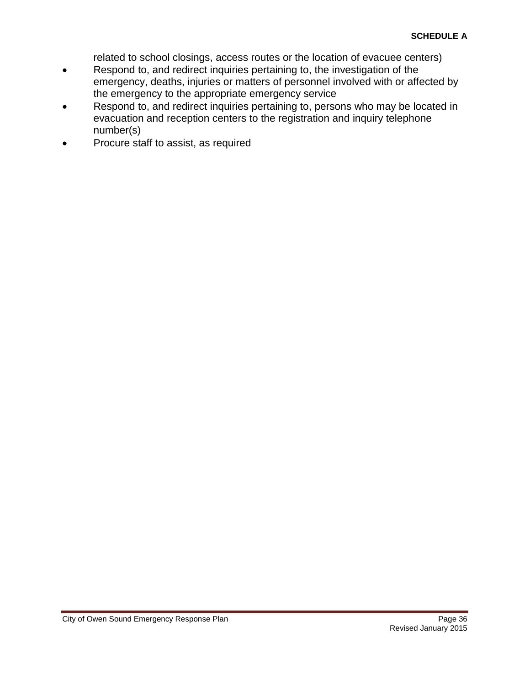related to school closings, access routes or the location of evacuee centers)

- Respond to, and redirect inquiries pertaining to, the investigation of the emergency, deaths, injuries or matters of personnel involved with or affected by the emergency to the appropriate emergency service
- Respond to, and redirect inquiries pertaining to, persons who may be located in evacuation and reception centers to the registration and inquiry telephone number(s)
- Procure staff to assist, as required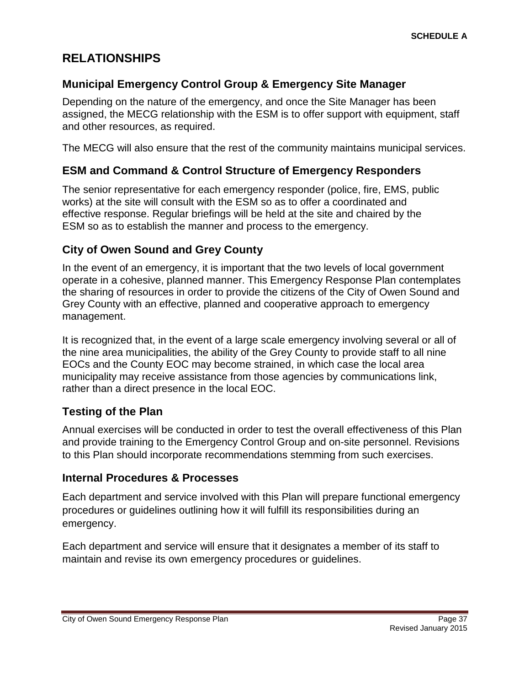# <span id="page-36-0"></span>**RELATIONSHIPS**

#### <span id="page-36-1"></span>**Municipal Emergency Control Group & Emergency Site Manager**

Depending on the nature of the emergency, and once the Site Manager has been assigned, the MECG relationship with the ESM is to offer support with equipment, staff and other resources, as required.

The MECG will also ensure that the rest of the community maintains municipal services.

#### <span id="page-36-2"></span>**ESM and Command & Control Structure of Emergency Responders**

The senior representative for each emergency responder (police, fire, EMS, public works) at the site will consult with the ESM so as to offer a coordinated and effective response. Regular briefings will be held at the site and chaired by the ESM so as to establish the manner and process to the emergency.

#### <span id="page-36-3"></span>**City of Owen Sound and Grey County**

In the event of an emergency, it is important that the two levels of local government operate in a cohesive, planned manner. This Emergency Response Plan contemplates the sharing of resources in order to provide the citizens of the City of Owen Sound and Grey County with an effective, planned and cooperative approach to emergency management.

It is recognized that, in the event of a large scale emergency involving several or all of the nine area municipalities, the ability of the Grey County to provide staff to all nine EOCs and the County EOC may become strained, in which case the local area municipality may receive assistance from those agencies by communications link, rather than a direct presence in the local EOC.

#### <span id="page-36-4"></span>**Testing of the Plan**

Annual exercises will be conducted in order to test the overall effectiveness of this Plan and provide training to the Emergency Control Group and on-site personnel. Revisions to this Plan should incorporate recommendations stemming from such exercises.

#### <span id="page-36-5"></span>**Internal Procedures & Processes**

Each department and service involved with this Plan will prepare functional emergency procedures or guidelines outlining how it will fulfill its responsibilities during an emergency.

Each department and service will ensure that it designates a member of its staff to maintain and revise its own emergency procedures or guidelines.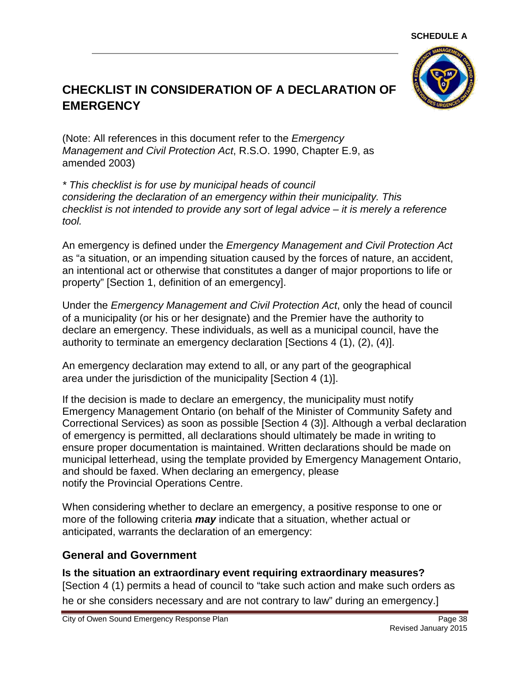

# <span id="page-37-0"></span>**CHECKLIST IN CONSIDERATION OF A DECLARATION OF EMERGENCY**

(Note: All references in this document refer to the *Emergency Management and Civil Protection Act*, R.S.O. 1990, Chapter E.9, as amended 2003)

*\* This checklist is for use by municipal heads of council considering the declaration of an emergency within their municipality. This checklist is not intended to provide any sort of legal advice – it is merely a reference tool.*

An emergency is defined under the *Emergency Management and Civil Protection Act*  as "a situation, or an impending situation caused by the forces of nature, an accident, an intentional act or otherwise that constitutes a danger of major proportions to life or property" [Section 1, definition of an emergency].

Under the *Emergency Management and Civil Protection Act*, only the head of council of a municipality (or his or her designate) and the Premier have the authority to declare an emergency. These individuals, as well as a municipal council, have the authority to terminate an emergency declaration [Sections 4 (1), (2), (4)].

An emergency declaration may extend to all, or any part of the geographical area under the jurisdiction of the municipality [Section 4 (1)].

If the decision is made to declare an emergency, the municipality must notify Emergency Management Ontario (on behalf of the Minister of Community Safety and Correctional Services) as soon as possible [Section 4 (3)]. Although a verbal declaration of emergency is permitted, all declarations should ultimately be made in writing to ensure proper documentation is maintained. Written declarations should be made on municipal letterhead, using the template provided by Emergency Management Ontario, and should be faxed. When declaring an emergency, please notify the Provincial Operations Centre.

When considering whether to declare an emergency, a positive response to one or more of the following criteria *may* indicate that a situation, whether actual or anticipated, warrants the declaration of an emergency:

#### <span id="page-37-1"></span>**General and Government**

**Is the situation an extraordinary event requiring extraordinary measures?** [Section 4 (1) permits a head of council to "take such action and make such orders as he or she considers necessary and are not contrary to law" during an emergency.]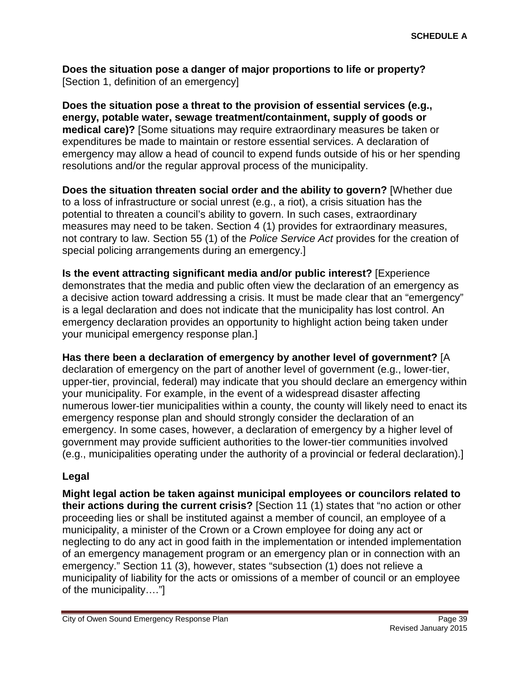**Does the situation pose a danger of major proportions to life or property?** [Section 1, definition of an emergency]

**Does the situation pose a threat to the provision of essential services (e.g., energy, potable water, sewage treatment/containment, supply of goods or medical care)?** [Some situations may require extraordinary measures be taken or expenditures be made to maintain or restore essential services. A declaration of emergency may allow a head of council to expend funds outside of his or her spending resolutions and/or the regular approval process of the municipality.

**Does the situation threaten social order and the ability to govern?** [Whether due to a loss of infrastructure or social unrest (e.g., a riot), a crisis situation has the potential to threaten a council's ability to govern. In such cases, extraordinary measures may need to be taken. Section 4 (1) provides for extraordinary measures, not contrary to law. Section 55 (1) of the *Police Service Act* provides for the creation of special policing arrangements during an emergency.]

**Is the event attracting significant media and/or public interest?** [Experience demonstrates that the media and public often view the declaration of an emergency as a decisive action toward addressing a crisis. It must be made clear that an "emergency" is a legal declaration and does not indicate that the municipality has lost control. An emergency declaration provides an opportunity to highlight action being taken under your municipal emergency response plan.]

**Has there been a declaration of emergency by another level of government?** [A declaration of emergency on the part of another level of government (e.g., lower-tier, upper-tier, provincial, federal) may indicate that you should declare an emergency within your municipality. For example, in the event of a widespread disaster affecting numerous lower-tier municipalities within a county, the county will likely need to enact its emergency response plan and should strongly consider the declaration of an emergency. In some cases, however, a declaration of emergency by a higher level of government may provide sufficient authorities to the lower-tier communities involved (e.g., municipalities operating under the authority of a provincial or federal declaration).]

#### <span id="page-38-0"></span>**Legal**

**Might legal action be taken against municipal employees or councilors related to their actions during the current crisis?** [Section 11 (1) states that "no action or other proceeding lies or shall be instituted against a member of council, an employee of a municipality, a minister of the Crown or a Crown employee for doing any act or neglecting to do any act in good faith in the implementation or intended implementation of an emergency management program or an emergency plan or in connection with an emergency." Section 11 (3), however, states "subsection (1) does not relieve a municipality of liability for the acts or omissions of a member of council or an employee of the municipality…."]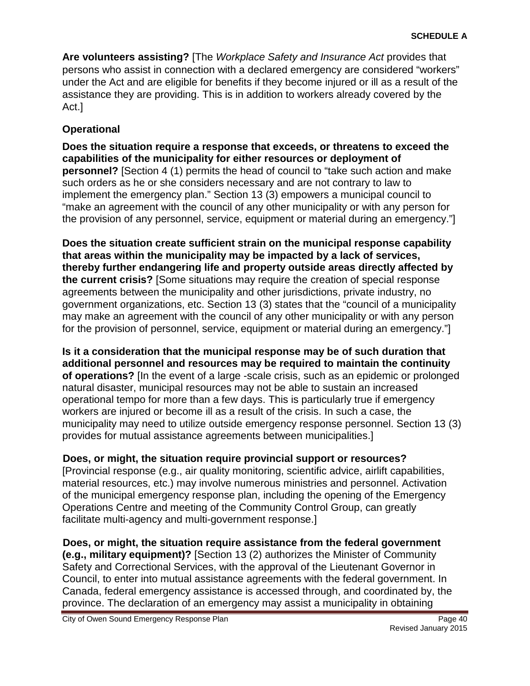**Are volunteers assisting?** [The *Workplace Safety and Insurance Act* provides that persons who assist in connection with a declared emergency are considered "workers" under the Act and are eligible for benefits if they become injured or ill as a result of the assistance they are providing. This is in addition to workers already covered by the Act.]

#### <span id="page-39-0"></span>**Operational**

**Does the situation require a response that exceeds, or threatens to exceed the capabilities of the municipality for either resources or deployment of personnel?** [Section 4 (1) permits the head of council to "take such action and make such orders as he or she considers necessary and are not contrary to law to implement the emergency plan." Section 13 (3) empowers a municipal council to "make an agreement with the council of any other municipality or with any person for the provision of any personnel, service, equipment or material during an emergency."]

**Does the situation create sufficient strain on the municipal response capability that areas within the municipality may be impacted by a lack of services, thereby further endangering life and property outside areas directly affected by the current crisis?** [Some situations may require the creation of special response agreements between the municipality and other jurisdictions, private industry, no government organizations, etc. Section 13 (3) states that the "council of a municipality may make an agreement with the council of any other municipality or with any person for the provision of personnel, service, equipment or material during an emergency."]

**Is it a consideration that the municipal response may be of such duration that additional personnel and resources may be required to maintain the continuity of operations?** [In the event of a large -scale crisis, such as an epidemic or prolonged natural disaster, municipal resources may not be able to sustain an increased operational tempo for more than a few days. This is particularly true if emergency workers are injured or become ill as a result of the crisis. In such a case, the municipality may need to utilize outside emergency response personnel. Section 13 (3) provides for mutual assistance agreements between municipalities.]

**Does, or might, the situation require provincial support or resources?**  [Provincial response (e.g., air quality monitoring, scientific advice, airlift capabilities, material resources, etc.) may involve numerous ministries and personnel. Activation of the municipal emergency response plan, including the opening of the Emergency Operations Centre and meeting of the Community Control Group, can greatly facilitate multi-agency and multi-government response.]

**Does, or might, the situation require assistance from the federal government (e.g., military equipment)?** [Section 13 (2) authorizes the Minister of Community Safety and Correctional Services, with the approval of the Lieutenant Governor in Council, to enter into mutual assistance agreements with the federal government. In Canada, federal emergency assistance is accessed through, and coordinated by, the province. The declaration of an emergency may assist a municipality in obtaining

City of Owen Sound Emergency Response Plan **Page 40** and Page 40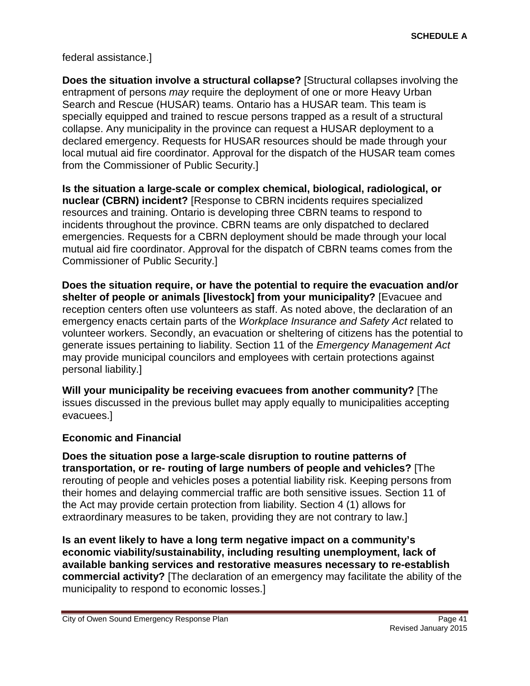federal assistance.]

**Does the situation involve a structural collapse?** [Structural collapses involving the entrapment of persons *may* require the deployment of one or more Heavy Urban Search and Rescue (HUSAR) teams. Ontario has a HUSAR team. This team is specially equipped and trained to rescue persons trapped as a result of a structural collapse. Any municipality in the province can request a HUSAR deployment to a declared emergency. Requests for HUSAR resources should be made through your local mutual aid fire coordinator. Approval for the dispatch of the HUSAR team comes from the Commissioner of Public Security.]

**Is the situation a large-scale or complex chemical, biological, radiological, or nuclear (CBRN) incident?** [Response to CBRN incidents requires specialized resources and training. Ontario is developing three CBRN teams to respond to incidents throughout the province. CBRN teams are only dispatched to declared emergencies. Requests for a CBRN deployment should be made through your local mutual aid fire coordinator. Approval for the dispatch of CBRN teams comes from the Commissioner of Public Security.]

**Does the situation require, or have the potential to require the evacuation and/or shelter of people or animals [livestock] from your municipality?** [Evacuee and reception centers often use volunteers as staff. As noted above, the declaration of an emergency enacts certain parts of the *Workplace Insurance and Safety Act* related to volunteer workers. Secondly, an evacuation or sheltering of citizens has the potential to generate issues pertaining to liability. Section 11 of the *Emergency Management Act* may provide municipal councilors and employees with certain protections against personal liability.]

**Will your municipality be receiving evacuees from another community?** [The issues discussed in the previous bullet may apply equally to municipalities accepting evacuees.]

#### <span id="page-40-0"></span>**Economic and Financial**

**Does the situation pose a large-scale disruption to routine patterns of transportation, or re- routing of large numbers of people and vehicles?** [The rerouting of people and vehicles poses a potential liability risk. Keeping persons from their homes and delaying commercial traffic are both sensitive issues. Section 11 of the Act may provide certain protection from liability. Section 4 (1) allows for extraordinary measures to be taken, providing they are not contrary to law.]

**Is an event likely to have a long term negative impact on a community's economic viability/sustainability, including resulting unemployment, lack of available banking services and restorative measures necessary to re-establish commercial activity?** [The declaration of an emergency may facilitate the ability of the municipality to respond to economic losses.]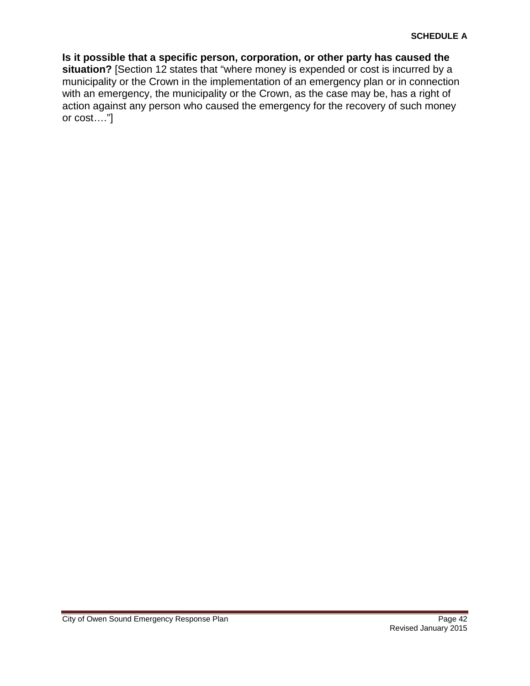**Is it possible that a specific person, corporation, or other party has caused the situation?** [Section 12 states that "where money is expended or cost is incurred by a municipality or the Crown in the implementation of an emergency plan or in connection with an emergency, the municipality or the Crown, as the case may be, has a right of action against any person who caused the emergency for the recovery of such money or cost…."]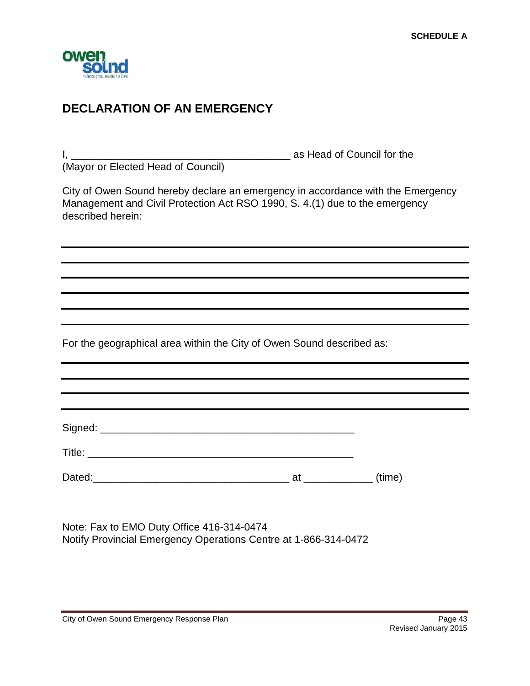

# <span id="page-42-0"></span>**DECLARATION OF AN EMERGENCY**

I, \_\_\_\_\_\_\_\_\_\_\_\_\_\_\_\_\_\_\_\_\_\_\_\_\_\_\_\_\_\_\_\_\_\_\_\_\_\_ as Head of Council for the (Mayor or Elected Head of Council)

City of Owen Sound hereby declare an emergency in accordance with the Emergency Management and Civil Protection Act RSO 1990, S. 4.(1) due to the emergency described herein:

For the geographical area within the City of Owen Sound described as:

Title: \_\_\_\_\_\_\_\_\_\_\_\_\_\_\_\_\_\_\_\_\_\_\_\_\_\_\_\_\_\_\_\_\_\_\_\_\_\_\_\_\_\_\_\_\_\_

Signed: \_\_\_\_\_\_\_\_\_\_\_\_\_\_\_\_\_\_\_\_\_\_\_\_\_\_\_\_\_\_\_\_\_\_\_\_\_\_\_\_\_\_\_\_

Dated:\_\_\_\_\_\_\_\_\_\_\_\_\_\_\_\_\_\_\_\_\_\_\_\_\_\_\_\_\_\_\_\_\_\_ at \_\_\_\_\_\_\_\_\_\_\_\_ (time)

Note: Fax to EMO Duty Office 416-314-0474 Notify Provincial Emergency Operations Centre at 1-866-314-0472